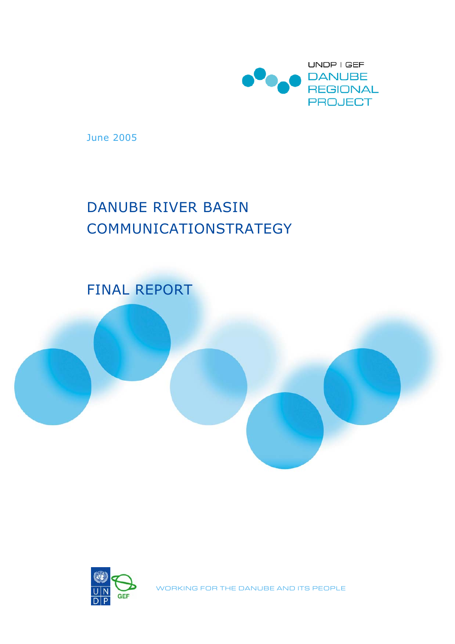

June 2005

# DANUBE RIVER BASIN COMMUNICATIONSTRATEGY

FINAL REPORT





WORKING FOR THE DANUBE AND ITS PEOPLE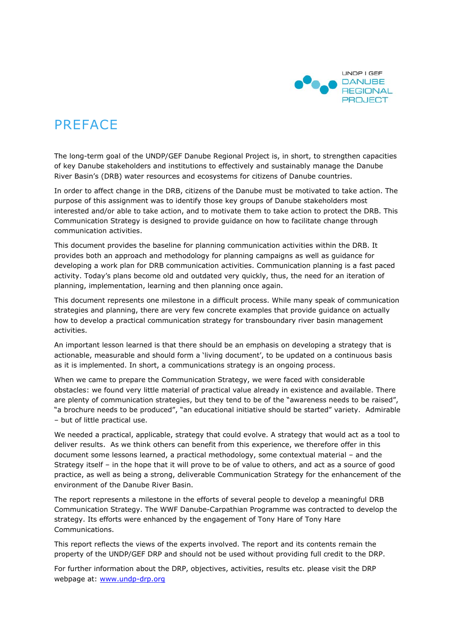

# PREFACE

The long-term goal of the UNDP/GEF Danube Regional Project is, in short, to strengthen capacities of key Danube stakeholders and institutions to effectively and sustainably manage the Danube River Basin's (DRB) water resources and ecosystems for citizens of Danube countries.

In order to affect change in the DRB, citizens of the Danube must be motivated to take action. The purpose of this assignment was to identify those key groups of Danube stakeholders most interested and/or able to take action, and to motivate them to take action to protect the DRB. This Communication Strategy is designed to provide guidance on how to facilitate change through communication activities.

This document provides the baseline for planning communication activities within the DRB. It provides both an approach and methodology for planning campaigns as well as guidance for developing a work plan for DRB communication activities. Communication planning is a fast paced activity. Today's plans become old and outdated very quickly, thus, the need for an iteration of planning, implementation, learning and then planning once again.

This document represents one milestone in a difficult process. While many speak of communication strategies and planning, there are very few concrete examples that provide guidance on actually how to develop a practical communication strategy for transboundary river basin management activities.

An important lesson learned is that there should be an emphasis on developing a strategy that is actionable, measurable and should form a 'living document', to be updated on a continuous basis as it is implemented. In short, a communications strategy is an ongoing process.

When we came to prepare the Communication Strategy, we were faced with considerable obstacles: we found very little material of practical value already in existence and available. There are plenty of communication strategies, but they tend to be of the "awareness needs to be raised", "a brochure needs to be produced", "an educational initiative should be started" variety. Admirable – but of little practical use.

We needed a practical, applicable, strategy that could evolve. A strategy that would act as a tool to deliver results. As we think others can benefit from this experience, we therefore offer in this document some lessons learned, a practical methodology, some contextual material – and the Strategy itself – in the hope that it will prove to be of value to others, and act as a source of good practice, as well as being a strong, deliverable Communication Strategy for the enhancement of the environment of the Danube River Basin.

The report represents a milestone in the efforts of several people to develop a meaningful DRB Communication Strategy. The WWF Danube-Carpathian Programme was contracted to develop the strategy. Its efforts were enhanced by the engagement of Tony Hare of Tony Hare Communications.

This report reflects the views of the experts involved. The report and its contents remain the property of the UNDP/GEF DRP and should not be used without providing full credit to the DRP.

For further information about the DRP, objectives, activities, results etc. please visit the DRP webpage at: www.undp-drp.org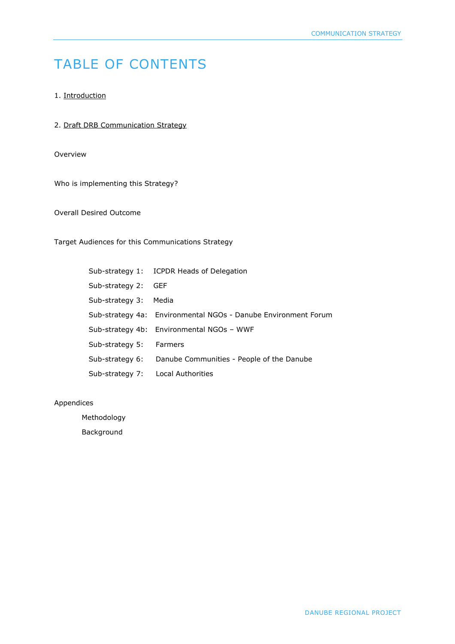# TABLE OF CONTENTS

### 1. Introduction

2. Draft DRB Communication Strategy

Overview

Who is implementing this Strategy?

Overall Desired Outcome

Target Audiences for this Communications Strategy

|                         | Sub-strategy 1: ICPDR Heads of Delegation                      |
|-------------------------|----------------------------------------------------------------|
| Sub-strategy 2:         | GEF                                                            |
| Sub-strategy 3:         | Media                                                          |
|                         | Sub-strategy 4a: Environmental NGOs - Danube Environment Forum |
|                         | Sub-strategy 4b: Environmental NGOs - WWF                      |
| Sub-strategy 5: Farmers |                                                                |
|                         | Sub-strategy 6: Danube Communities - People of the Danube      |
|                         | Sub-strategy 7: Local Authorities                              |

#### Appendices

Methodology

Background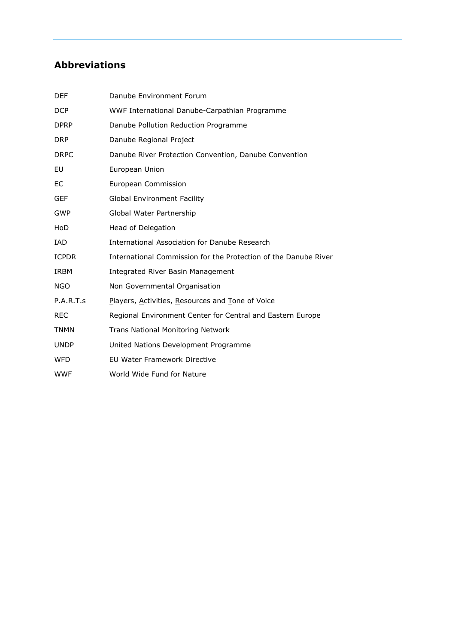## **Abbreviations**

| DEF          | Danube Environment Forum                                        |
|--------------|-----------------------------------------------------------------|
| <b>DCP</b>   | WWF International Danube-Carpathian Programme                   |
| <b>DPRP</b>  | Danube Pollution Reduction Programme                            |
| <b>DRP</b>   | Danube Regional Project                                         |
| <b>DRPC</b>  | Danube River Protection Convention, Danube Convention           |
| EU           | European Union                                                  |
| ЕC           | European Commission                                             |
| GEF          | <b>Global Environment Facility</b>                              |
| <b>GWP</b>   | Global Water Partnership                                        |
| HoD          | Head of Delegation                                              |
| IAD          | International Association for Danube Research                   |
| <b>ICPDR</b> | International Commission for the Protection of the Danube River |
| <b>IRBM</b>  | Integrated River Basin Management                               |
| <b>NGO</b>   | Non Governmental Organisation                                   |
| P.A.R.T.s    | Players, Activities, Resources and Tone of Voice                |
| <b>REC</b>   | Regional Environment Center for Central and Eastern Europe      |
| TNMN         | <b>Trans National Monitoring Network</b>                        |
| <b>UNDP</b>  | United Nations Development Programme                            |
| <b>WFD</b>   | EU Water Framework Directive                                    |
| <b>WWF</b>   | World Wide Fund for Nature                                      |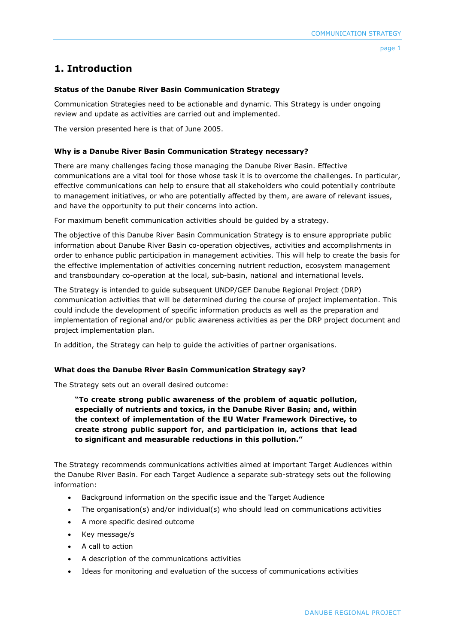## **1. Introduction**

## **Status of the Danube River Basin Communication Strategy**

Communication Strategies need to be actionable and dynamic. This Strategy is under ongoing review and update as activities are carried out and implemented.

The version presented here is that of June 2005.

## **Why is a Danube River Basin Communication Strategy necessary?**

There are many challenges facing those managing the Danube River Basin. Effective communications are a vital tool for those whose task it is to overcome the challenges. In particular, effective communications can help to ensure that all stakeholders who could potentially contribute to management initiatives, or who are potentially affected by them, are aware of relevant issues, and have the opportunity to put their concerns into action.

For maximum benefit communication activities should be guided by a strategy.

The objective of this Danube River Basin Communication Strategy is to ensure appropriate public information about Danube River Basin co-operation objectives, activities and accomplishments in order to enhance public participation in management activities. This will help to create the basis for the effective implementation of activities concerning nutrient reduction, ecosystem management and transboundary co-operation at the local, sub-basin, national and international levels.

The Strategy is intended to guide subsequent UNDP/GEF Danube Regional Project (DRP) communication activities that will be determined during the course of project implementation. This could include the development of specific information products as well as the preparation and implementation of regional and/or public awareness activities as per the DRP project document and project implementation plan.

In addition, the Strategy can help to guide the activities of partner organisations.

## **What does the Danube River Basin Communication Strategy say?**

The Strategy sets out an overall desired outcome:

**"To create strong public awareness of the problem of aquatic pollution, especially of nutrients and toxics, in the Danube River Basin; and, within the context of implementation of the EU Water Framework Directive, to create strong public support for, and participation in, actions that lead to significant and measurable reductions in this pollution."** 

The Strategy recommends communications activities aimed at important Target Audiences within the Danube River Basin. For each Target Audience a separate sub-strategy sets out the following information:

- Background information on the specific issue and the Target Audience
- The organisation(s) and/or individual(s) who should lead on communications activities
- A more specific desired outcome
- Key message/s
- A call to action
- A description of the communications activities
- Ideas for monitoring and evaluation of the success of communications activities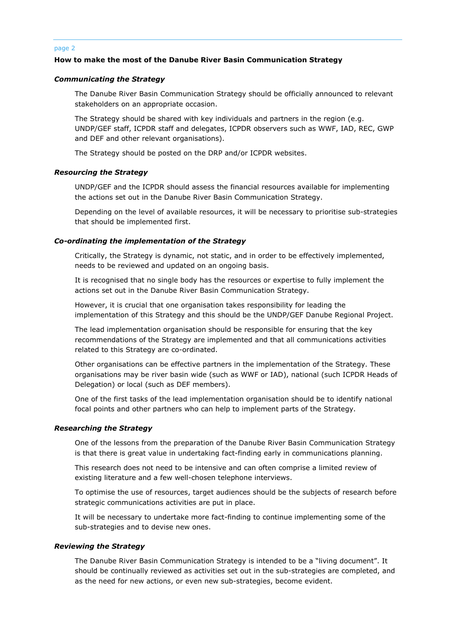#### **How to make the most of the Danube River Basin Communication Strategy**

#### *Communicating the Strategy*

The Danube River Basin Communication Strategy should be officially announced to relevant stakeholders on an appropriate occasion.

The Strategy should be shared with key individuals and partners in the region (e.g. UNDP/GEF staff, ICPDR staff and delegates, ICPDR observers such as WWF, IAD, REC, GWP and DEF and other relevant organisations).

The Strategy should be posted on the DRP and/or ICPDR websites.

#### *Resourcing the Strategy*

UNDP/GEF and the ICPDR should assess the financial resources available for implementing the actions set out in the Danube River Basin Communication Strategy.

Depending on the level of available resources, it will be necessary to prioritise sub-strategies that should be implemented first.

#### *Co-ordinating the implementation of the Strategy*

Critically, the Strategy is dynamic, not static, and in order to be effectively implemented, needs to be reviewed and updated on an ongoing basis.

It is recognised that no single body has the resources or expertise to fully implement the actions set out in the Danube River Basin Communication Strategy.

However, it is crucial that one organisation takes responsibility for leading the implementation of this Strategy and this should be the UNDP/GEF Danube Regional Project.

The lead implementation organisation should be responsible for ensuring that the key recommendations of the Strategy are implemented and that all communications activities related to this Strategy are co-ordinated.

Other organisations can be effective partners in the implementation of the Strategy. These organisations may be river basin wide (such as WWF or IAD), national (such ICPDR Heads of Delegation) or local (such as DEF members).

One of the first tasks of the lead implementation organisation should be to identify national focal points and other partners who can help to implement parts of the Strategy.

#### *Researching the Strategy*

One of the lessons from the preparation of the Danube River Basin Communication Strategy is that there is great value in undertaking fact-finding early in communications planning.

This research does not need to be intensive and can often comprise a limited review of existing literature and a few well-chosen telephone interviews.

To optimise the use of resources, target audiences should be the subjects of research before strategic communications activities are put in place.

It will be necessary to undertake more fact-finding to continue implementing some of the sub-strategies and to devise new ones.

#### *Reviewing the Strategy*

The Danube River Basin Communication Strategy is intended to be a "living document". It should be continually reviewed as activities set out in the sub-strategies are completed, and as the need for new actions, or even new sub-strategies, become evident.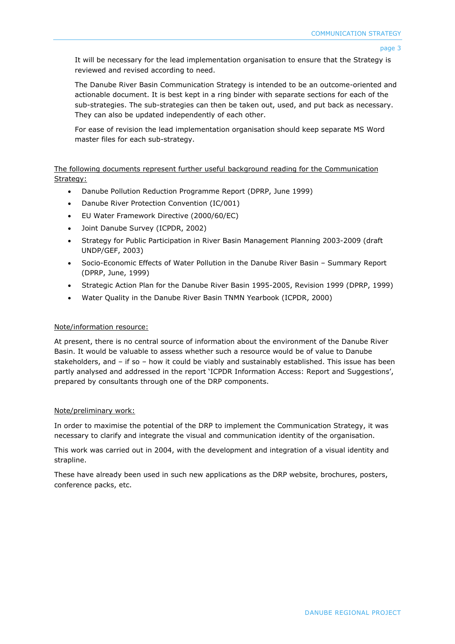It will be necessary for the lead implementation organisation to ensure that the Strategy is reviewed and revised according to need.

The Danube River Basin Communication Strategy is intended to be an outcome-oriented and actionable document. It is best kept in a ring binder with separate sections for each of the sub-strategies. The sub-strategies can then be taken out, used, and put back as necessary. They can also be updated independently of each other.

For ease of revision the lead implementation organisation should keep separate MS Word master files for each sub-strategy.

The following documents represent further useful background reading for the Communication Strategy:

- Danube Pollution Reduction Programme Report (DPRP, June 1999)
- Danube River Protection Convention (IC/001)
- EU Water Framework Directive (2000/60/EC)
- Joint Danube Survey (ICPDR, 2002)
- Strategy for Public Participation in River Basin Management Planning 2003-2009 (draft UNDP/GEF, 2003)
- Socio-Economic Effects of Water Pollution in the Danube River Basin Summary Report (DPRP, June, 1999)
- Strategic Action Plan for the Danube River Basin 1995-2005, Revision 1999 (DPRP, 1999)
- Water Quality in the Danube River Basin TNMN Yearbook (ICPDR, 2000)

## Note/information resource:

At present, there is no central source of information about the environment of the Danube River Basin. It would be valuable to assess whether such a resource would be of value to Danube stakeholders, and – if so – how it could be viably and sustainably established. This issue has been partly analysed and addressed in the report 'ICPDR Information Access: Report and Suggestions', prepared by consultants through one of the DRP components.

## Note/preliminary work:

In order to maximise the potential of the DRP to implement the Communication Strategy, it was necessary to clarify and integrate the visual and communication identity of the organisation.

This work was carried out in 2004, with the development and integration of a visual identity and strapline.

These have already been used in such new applications as the DRP website, brochures, posters, conference packs, etc.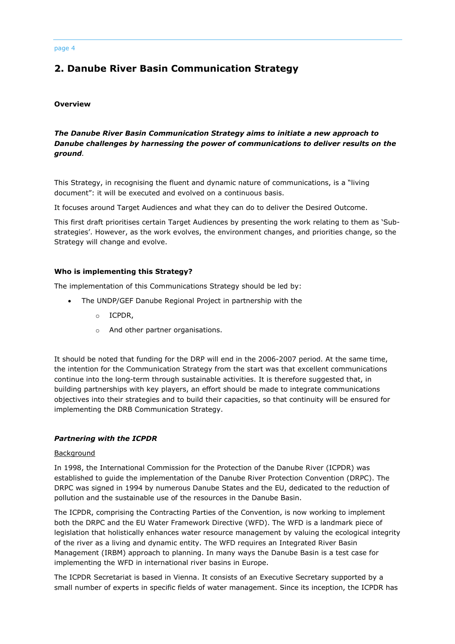## **2. Danube River Basin Communication Strategy**

#### **Overview**

## *The Danube River Basin Communication Strategy aims to initiate a new approach to Danube challenges by harnessing the power of communications to deliver results on the ground.*

This Strategy, in recognising the fluent and dynamic nature of communications, is a "living document": it will be executed and evolved on a continuous basis.

It focuses around Target Audiences and what they can do to deliver the Desired Outcome.

This first draft prioritises certain Target Audiences by presenting the work relating to them as 'Substrategies'. However, as the work evolves, the environment changes, and priorities change, so the Strategy will change and evolve.

## **Who is implementing this Strategy?**

The implementation of this Communications Strategy should be led by:

- The UNDP/GEF Danube Regional Project in partnership with the
	- o ICPDR,
	- o And other partner organisations.

It should be noted that funding for the DRP will end in the 2006-2007 period. At the same time, the intention for the Communication Strategy from the start was that excellent communications continue into the long-term through sustainable activities. It is therefore suggested that, in building partnerships with key players, an effort should be made to integrate communications objectives into their strategies and to build their capacities, so that continuity will be ensured for implementing the DRB Communication Strategy.

## *Partnering with the ICPDR*

#### Background

In 1998, the International Commission for the Protection of the Danube River (ICPDR) was established to guide the implementation of the Danube River Protection Convention (DRPC). The DRPC was signed in 1994 by numerous Danube States and the EU, dedicated to the reduction of pollution and the sustainable use of the resources in the Danube Basin.

The ICPDR, comprising the Contracting Parties of the Convention, is now working to implement both the DRPC and the EU Water Framework Directive (WFD). The WFD is a landmark piece of legislation that holistically enhances water resource management by valuing the ecological integrity of the river as a living and dynamic entity. The WFD requires an Integrated River Basin Management (IRBM) approach to planning. In many ways the Danube Basin is a test case for implementing the WFD in international river basins in Europe.

The ICPDR Secretariat is based in Vienna. It consists of an Executive Secretary supported by a small number of experts in specific fields of water management. Since its inception, the ICPDR has

page 4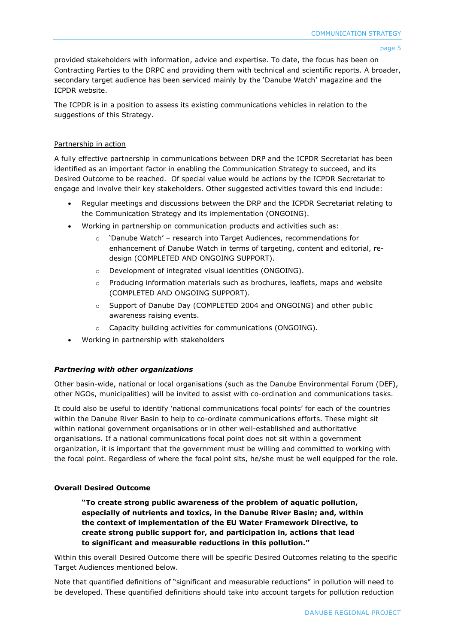provided stakeholders with information, advice and expertise. To date, the focus has been on Contracting Parties to the DRPC and providing them with technical and scientific reports. A broader, secondary target audience has been serviced mainly by the 'Danube Watch' magazine and the ICPDR website.

The ICPDR is in a position to assess its existing communications vehicles in relation to the suggestions of this Strategy.

#### Partnership in action

A fully effective partnership in communications between DRP and the ICPDR Secretariat has been identified as an important factor in enabling the Communication Strategy to succeed, and its Desired Outcome to be reached. Of special value would be actions by the ICPDR Secretariat to engage and involve their key stakeholders. Other suggested activities toward this end include:

- Regular meetings and discussions between the DRP and the ICPDR Secretariat relating to the Communication Strategy and its implementation (ONGOING).
- Working in partnership on communication products and activities such as:
	- o 'Danube Watch' research into Target Audiences, recommendations for enhancement of Danube Watch in terms of targeting, content and editorial, redesign (COMPLETED AND ONGOING SUPPORT).
	- o Development of integrated visual identities (ONGOING).
	- $\circ$  Producing information materials such as brochures, leaflets, maps and website (COMPLETED AND ONGOING SUPPORT).
	- o Support of Danube Day (COMPLETED 2004 and ONGOING) and other public awareness raising events.
	- o Capacity building activities for communications (ONGOING).
- Working in partnership with stakeholders

#### *Partnering with other organizations*

Other basin-wide, national or local organisations (such as the Danube Environmental Forum (DEF), other NGOs, municipalities) will be invited to assist with co-ordination and communications tasks.

It could also be useful to identify 'national communications focal points' for each of the countries within the Danube River Basin to help to co-ordinate communications efforts. These might sit within national government organisations or in other well-established and authoritative organisations. If a national communications focal point does not sit within a government organization, it is important that the government must be willing and committed to working with the focal point. Regardless of where the focal point sits, he/she must be well equipped for the role.

#### **Overall Desired Outcome**

**"To create strong public awareness of the problem of aquatic pollution, especially of nutrients and toxics, in the Danube River Basin; and, within the context of implementation of the EU Water Framework Directive, to create strong public support for, and participation in, actions that lead to significant and measurable reductions in this pollution."** 

Within this overall Desired Outcome there will be specific Desired Outcomes relating to the specific Target Audiences mentioned below.

Note that quantified definitions of "significant and measurable reductions" in pollution will need to be developed. These quantified definitions should take into account targets for pollution reduction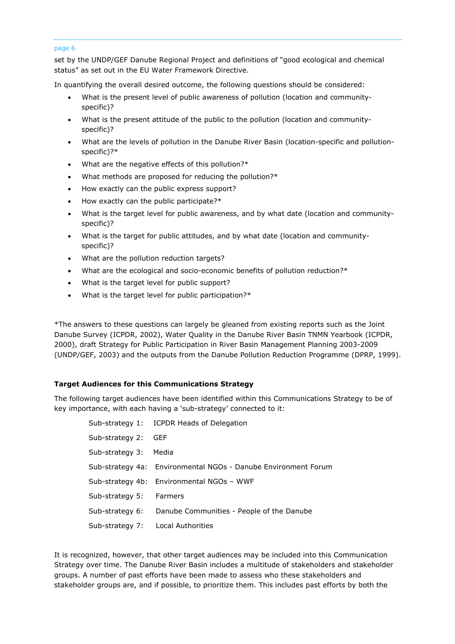set by the UNDP/GEF Danube Regional Project and definitions of "good ecological and chemical status" as set out in the EU Water Framework Directive.

In quantifying the overall desired outcome, the following questions should be considered:

- What is the present level of public awareness of pollution (location and communityspecific)?
- What is the present attitude of the public to the pollution (location and communityspecific)?
- What are the levels of pollution in the Danube River Basin (location-specific and pollutionspecific)?\*
- What are the negative effects of this pollution?\*
- What methods are proposed for reducing the pollution?\*
- How exactly can the public express support?
- How exactly can the public participate?\*
- What is the target level for public awareness, and by what date (location and communityspecific)?
- What is the target for public attitudes, and by what date (location and communityspecific)?
- What are the pollution reduction targets?
- What are the ecological and socio-economic benefits of pollution reduction?\*
- What is the target level for public support?
- What is the target level for public participation?\*

\*The answers to these questions can largely be gleaned from existing reports such as the Joint Danube Survey (ICPDR, 2002), Water Quality in the Danube River Basin TNMN Yearbook (ICPDR, 2000), draft Strategy for Public Participation in River Basin Management Planning 2003-2009 (UNDP/GEF, 2003) and the outputs from the Danube Pollution Reduction Programme (DPRP, 1999).

#### **Target Audiences for this Communications Strategy**

The following target audiences have been identified within this Communications Strategy to be of key importance, with each having a 'sub-strategy' connected to it:

|                         | Sub-strategy 1: ICPDR Heads of Delegation                      |
|-------------------------|----------------------------------------------------------------|
| Sub-strategy 2:         | - GEF                                                          |
| Sub-strategy 3: Media   |                                                                |
|                         | Sub-strategy 4a: Environmental NGOs - Danube Environment Forum |
|                         | Sub-strategy 4b: Environmental NGOs - WWF                      |
| Sub-strategy 5: Farmers |                                                                |
|                         | Sub-strategy 6: Danube Communities - People of the Danube      |
| Sub-strategy 7:         | Local Authorities                                              |

It is recognized, however, that other target audiences may be included into this Communication Strategy over time. The Danube River Basin includes a multitude of stakeholders and stakeholder groups. A number of past efforts have been made to assess who these stakeholders and stakeholder groups are, and if possible, to prioritize them. This includes past efforts by both the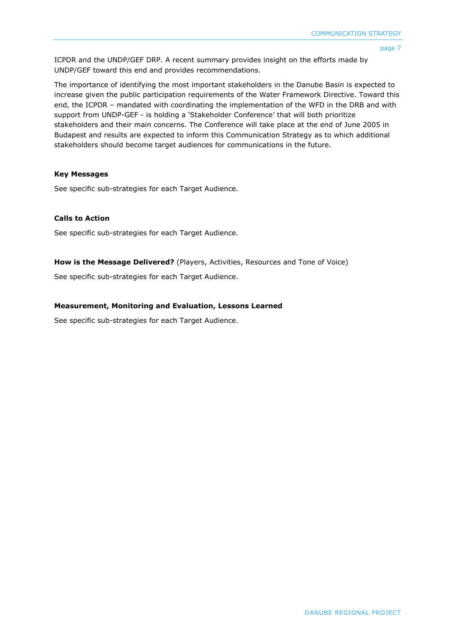ICPDR and the UNDP/GEF DRP. A recent summary provides insight on the efforts made by UNDP/GEF toward this end and provides recommendations.

The importance of identifying the most important stakeholders in the Danube Basin is expected to increase given the public participation requirements of the Water Framework Directive. Toward this end, the ICPDR – mandated with coordinating the implementation of the WFD in the DRB and with support from UNDP-GEF - is holding a 'Stakeholder Conference' that will both prioritize stakeholders and their main concerns. The Conference will take place at the end of June 2005 in Budapest and results are expected to inform this Communication Strategy as to which additional stakeholders should become target audiences for communications in the future.

#### **Key Messages**

See specific sub-strategies for each Target Audience.

#### **Calls to Action**

See specific sub-strategies for each Target Audience.

#### **How is the Message Delivered?** (Players, Activities, Resources and Tone of Voice)

See specific sub-strategies for each Target Audience.

#### **Measurement, Monitoring and Evaluation, Lessons Learned**

See specific sub-strategies for each Target Audience.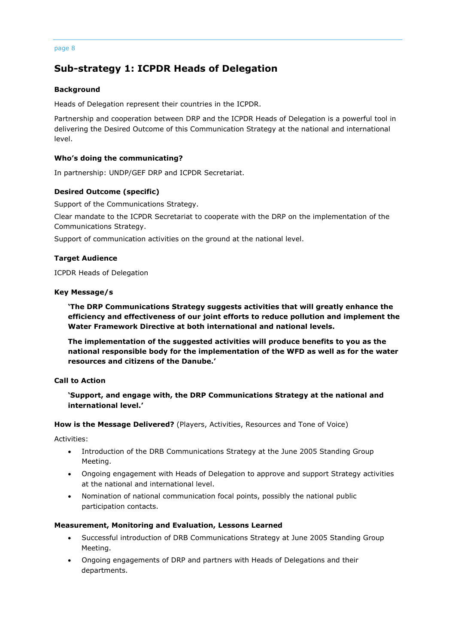## **Sub-strategy 1: ICPDR Heads of Delegation**

### **Background**

Heads of Delegation represent their countries in the ICPDR.

Partnership and cooperation between DRP and the ICPDR Heads of Delegation is a powerful tool in delivering the Desired Outcome of this Communication Strategy at the national and international level.

### **Who's doing the communicating?**

In partnership: UNDP/GEF DRP and ICPDR Secretariat.

### **Desired Outcome (specific)**

Support of the Communications Strategy.

Clear mandate to the ICPDR Secretariat to cooperate with the DRP on the implementation of the Communications Strategy.

Support of communication activities on the ground at the national level.

### **Target Audience**

ICPDR Heads of Delegation

#### **Key Message/s**

**'The DRP Communications Strategy suggests activities that will greatly enhance the efficiency and effectiveness of our joint efforts to reduce pollution and implement the Water Framework Directive at both international and national levels.** 

**The implementation of the suggested activities will produce benefits to you as the national responsible body for the implementation of the WFD as well as for the water resources and citizens of the Danube.'**

#### **Call to Action**

**'Support, and engage with, the DRP Communications Strategy at the national and international level.'** 

**How is the Message Delivered?** (Players, Activities, Resources and Tone of Voice)

Activities:

- Introduction of the DRB Communications Strategy at the June 2005 Standing Group Meeting.
- Ongoing engagement with Heads of Delegation to approve and support Strategy activities at the national and international level.
- Nomination of national communication focal points, possibly the national public participation contacts.

## **Measurement, Monitoring and Evaluation, Lessons Learned**

- Successful introduction of DRB Communications Strategy at June 2005 Standing Group Meeting.
- Ongoing engagements of DRP and partners with Heads of Delegations and their departments.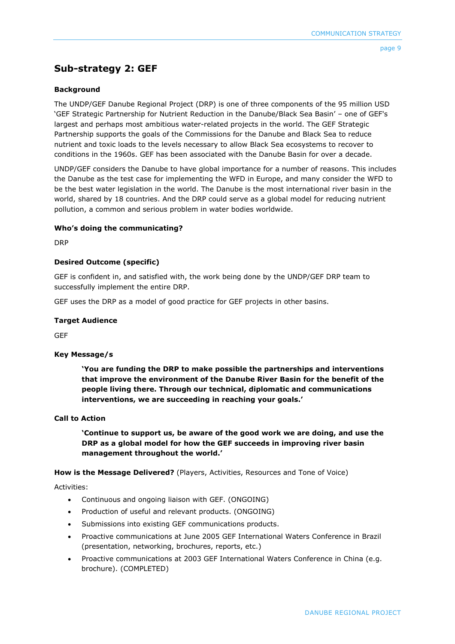## **Sub-strategy 2: GEF**

## **Background**

The UNDP/GEF Danube Regional Project (DRP) is one of three components of the 95 million USD 'GEF Strategic Partnership for Nutrient Reduction in the Danube/Black Sea Basin' – one of GEF's largest and perhaps most ambitious water-related projects in the world. The GEF Strategic Partnership supports the goals of the Commissions for the Danube and Black Sea to reduce nutrient and toxic loads to the levels necessary to allow Black Sea ecosystems to recover to conditions in the 1960s. GEF has been associated with the Danube Basin for over a decade.

UNDP/GEF considers the Danube to have global importance for a number of reasons. This includes the Danube as the test case for implementing the WFD in Europe, and many consider the WFD to be the best water legislation in the world. The Danube is the most international river basin in the world, shared by 18 countries. And the DRP could serve as a global model for reducing nutrient pollution, a common and serious problem in water bodies worldwide.

## **Who's doing the communicating?**

DRP

### **Desired Outcome (specific)**

GEF is confident in, and satisfied with, the work being done by the UNDP/GEF DRP team to successfully implement the entire DRP.

GEF uses the DRP as a model of good practice for GEF projects in other basins.

#### **Target Audience**

GEF

#### **Key Message/s**

**'You are funding the DRP to make possible the partnerships and interventions that improve the environment of the Danube River Basin for the benefit of the people living there. Through our technical, diplomatic and communications interventions, we are succeeding in reaching your goals.'** 

#### **Call to Action**

**'Continue to support us, be aware of the good work we are doing, and use the DRP as a global model for how the GEF succeeds in improving river basin management throughout the world.'** 

**How is the Message Delivered?** (Players, Activities, Resources and Tone of Voice)

Activities:

- Continuous and ongoing liaison with GEF. (ONGOING)
- Production of useful and relevant products. (ONGOING)
- Submissions into existing GEF communications products.
- Proactive communications at June 2005 GEF International Waters Conference in Brazil (presentation, networking, brochures, reports, etc.)
- Proactive communications at 2003 GEF International Waters Conference in China (e.g. brochure). (COMPLETED)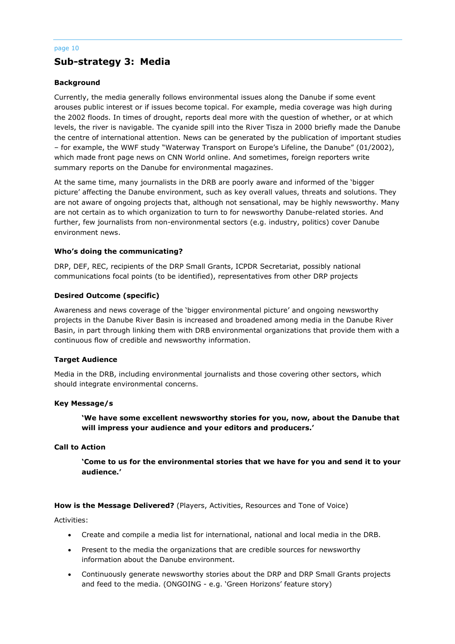## **Sub-strategy 3: Media**

#### **Background**

Currently, the media generally follows environmental issues along the Danube if some event arouses public interest or if issues become topical. For example, media coverage was high during the 2002 floods. In times of drought, reports deal more with the question of whether, or at which levels, the river is navigable. The cyanide spill into the River Tisza in 2000 briefly made the Danube the centre of international attention. News can be generated by the publication of important studies – for example, the WWF study "Waterway Transport on Europe's Lifeline, the Danube" (01/2002), which made front page news on CNN World online. And sometimes, foreign reporters write summary reports on the Danube for environmental magazines.

At the same time, many journalists in the DRB are poorly aware and informed of the 'bigger picture' affecting the Danube environment, such as key overall values, threats and solutions. They are not aware of ongoing projects that, although not sensational, may be highly newsworthy. Many are not certain as to which organization to turn to for newsworthy Danube-related stories. And further, few journalists from non-environmental sectors (e.g. industry, politics) cover Danube environment news.

#### **Who's doing the communicating?**

DRP, DEF, REC, recipients of the DRP Small Grants, ICPDR Secretariat, possibly national communications focal points (to be identified), representatives from other DRP projects

### **Desired Outcome (specific)**

Awareness and news coverage of the 'bigger environmental picture' and ongoing newsworthy projects in the Danube River Basin is increased and broadened among media in the Danube River Basin, in part through linking them with DRB environmental organizations that provide them with a continuous flow of credible and newsworthy information.

#### **Target Audience**

Media in the DRB, including environmental journalists and those covering other sectors, which should integrate environmental concerns.

#### **Key Message/s**

**'We have some excellent newsworthy stories for you, now, about the Danube that will impress your audience and your editors and producers.'** 

## **Call to Action**

**'Come to us for the environmental stories that we have for you and send it to your audience.'** 

**How is the Message Delivered?** (Players, Activities, Resources and Tone of Voice)

Activities:

- Create and compile a media list for international, national and local media in the DRB.
- Present to the media the organizations that are credible sources for newsworthy information about the Danube environment.
- Continuously generate newsworthy stories about the DRP and DRP Small Grants projects and feed to the media. (ONGOING - e.g. 'Green Horizons' feature story)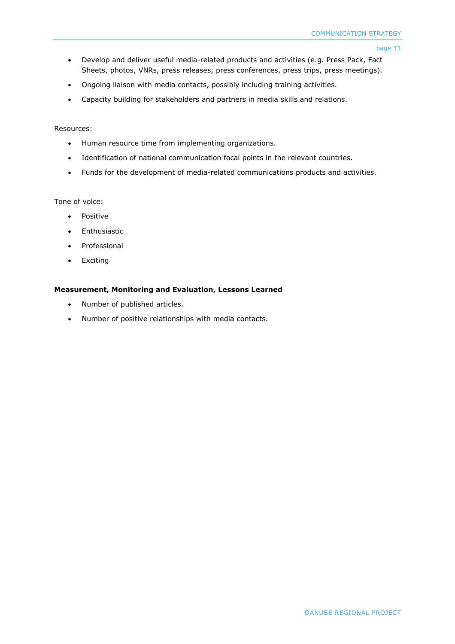- Develop and deliver useful media-related products and activities (e.g. Press Pack, Fact Sheets, photos, VNRs, press releases, press conferences, press trips, press meetings).
- Ongoing liaison with media contacts, possibly including training activities.
- Capacity building for stakeholders and partners in media skills and relations.

#### Resources:

- Human resource time from implementing organizations.
- Identification of national communication focal points in the relevant countries.
- Funds for the development of media-related communications products and activities.

#### Tone of voice:

- Positive
- Enthusiastic
- Professional
- Exciting

#### **Measurement, Monitoring and Evaluation, Lessons Learned**

- Number of published articles.
- Number of positive relationships with media contacts.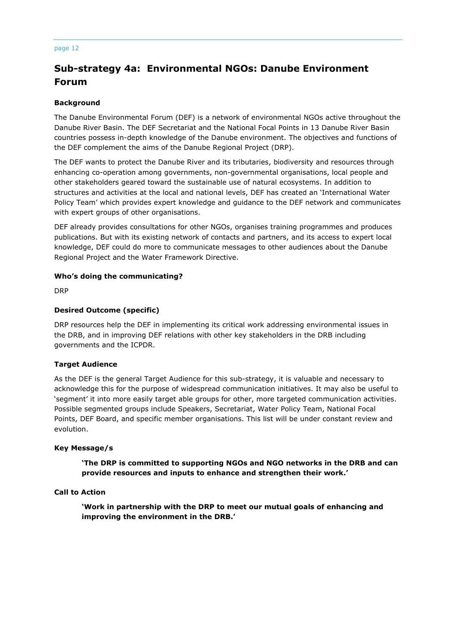## **Sub-strategy 4a: Environmental NGOs: Danube Environment Forum**

### **Background**

The Danube Environmental Forum (DEF) is a network of environmental NGOs active throughout the Danube River Basin. The DEF Secretariat and the National Focal Points in 13 Danube River Basin countries possess in-depth knowledge of the Danube environment. The objectives and functions of the DEF complement the aims of the Danube Regional Project (DRP).

The DEF wants to protect the Danube River and its tributaries, biodiversity and resources through enhancing co-operation among governments, non-governmental organisations, local people and other stakeholders geared toward the sustainable use of natural ecosystems. In addition to structures and activities at the local and national levels, DEF has created an 'International Water Policy Team' which provides expert knowledge and guidance to the DEF network and communicates with expert groups of other organisations.

DEF already provides consultations for other NGOs, organises training programmes and produces publications. But with its existing network of contacts and partners, and its access to expert local knowledge, DEF could do more to communicate messages to other audiences about the Danube Regional Project and the Water Framework Directive.

### **Who's doing the communicating?**

DRP

### **Desired Outcome (specific)**

DRP resources help the DEF in implementing its critical work addressing environmental issues in the DRB, and in improving DEF relations with other key stakeholders in the DRB including governments and the ICPDR.

## **Target Audience**

As the DEF is the general Target Audience for this sub-strategy, it is valuable and necessary to acknowledge this for the purpose of widespread communication initiatives. It may also be useful to 'segment' it into more easily target able groups for other, more targeted communication activities. Possible segmented groups include Speakers, Secretariat, Water Policy Team, National Focal Points, DEF Board, and specific member organisations. This list will be under constant review and evolution.

#### **Key Message/s**

**'The DRP is committed to supporting NGOs and NGO networks in the DRB and can provide resources and inputs to enhance and strengthen their work.'** 

#### **Call to Action**

**'Work in partnership with the DRP to meet our mutual goals of enhancing and improving the environment in the DRB.'**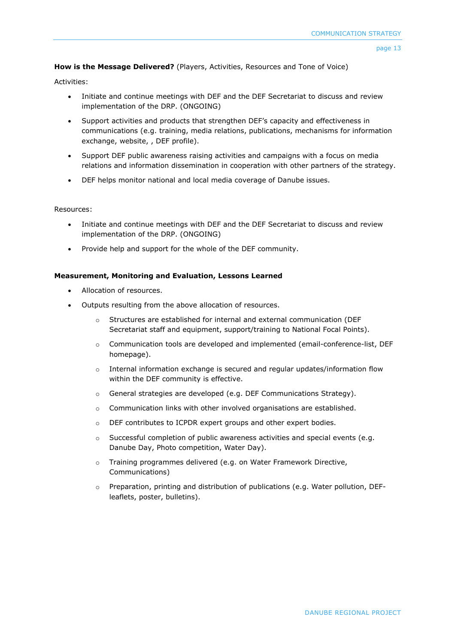**How is the Message Delivered?** (Players, Activities, Resources and Tone of Voice)

Activities:

- Initiate and continue meetings with DEF and the DEF Secretariat to discuss and review implementation of the DRP. (ONGOING)
- Support activities and products that strengthen DEF's capacity and effectiveness in communications (e.g. training, media relations, publications, mechanisms for information exchange, website, , DEF profile).
- Support DEF public awareness raising activities and campaigns with a focus on media relations and information dissemination in cooperation with other partners of the strategy.
- DEF helps monitor national and local media coverage of Danube issues.

Resources:

- Initiate and continue meetings with DEF and the DEF Secretariat to discuss and review implementation of the DRP. (ONGOING)
- Provide help and support for the whole of the DEF community.

#### **Measurement, Monitoring and Evaluation, Lessons Learned**

- Allocation of resources.
- Outputs resulting from the above allocation of resources.
	- o Structures are established for internal and external communication (DEF Secretariat staff and equipment, support/training to National Focal Points).
	- o Communication tools are developed and implemented (email-conference-list, DEF homepage).
	- $\circ$  Internal information exchange is secured and regular updates/information flow within the DEF community is effective.
	- o General strategies are developed (e.g. DEF Communications Strategy).
	- o Communication links with other involved organisations are established.
	- o DEF contributes to ICPDR expert groups and other expert bodies.
	- $\circ$  Successful completion of public awareness activities and special events (e.g. Danube Day, Photo competition, Water Day).
	- o Training programmes delivered (e.g. on Water Framework Directive, Communications)
	- Preparation, printing and distribution of publications (e.g. Water pollution, DEFleaflets, poster, bulletins).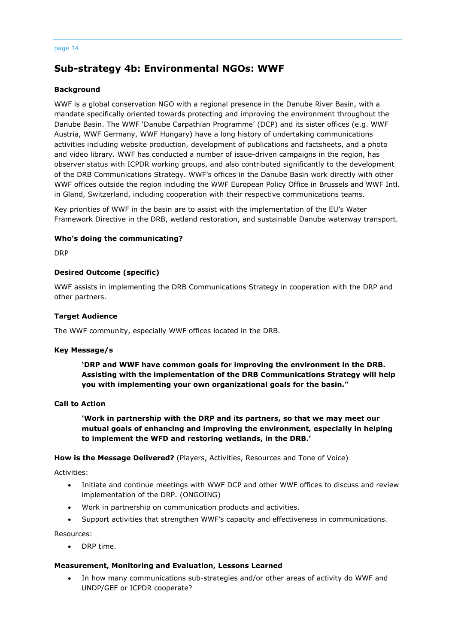## **Sub-strategy 4b: Environmental NGOs: WWF**

#### **Background**

WWF is a global conservation NGO with a regional presence in the Danube River Basin, with a mandate specifically oriented towards protecting and improving the environment throughout the Danube Basin. The WWF 'Danube Carpathian Programme' (DCP) and its sister offices (e.g. WWF Austria, WWF Germany, WWF Hungary) have a long history of undertaking communications activities including website production, development of publications and factsheets, and a photo and video library. WWF has conducted a number of issue-driven campaigns in the region, has observer status with ICPDR working groups, and also contributed significantly to the development of the DRB Communications Strategy. WWF's offices in the Danube Basin work directly with other WWF offices outside the region including the WWF European Policy Office in Brussels and WWF Intl. in Gland, Switzerland, including cooperation with their respective communications teams.

Key priorities of WWF in the basin are to assist with the implementation of the EU's Water Framework Directive in the DRB, wetland restoration, and sustainable Danube waterway transport.

#### **Who's doing the communicating?**

DRP

### **Desired Outcome (specific)**

WWF assists in implementing the DRB Communications Strategy in cooperation with the DRP and other partners.

### **Target Audience**

The WWF community, especially WWF offices located in the DRB.

#### **Key Message/s**

**'DRP and WWF have common goals for improving the environment in the DRB. Assisting with the implementation of the DRB Communications Strategy will help you with implementing your own organizational goals for the basin."** 

#### **Call to Action**

**'Work in partnership with the DRP and its partners, so that we may meet our mutual goals of enhancing and improving the environment, especially in helping to implement the WFD and restoring wetlands, in the DRB.'** 

**How is the Message Delivered?** (Players, Activities, Resources and Tone of Voice)

Activities:

- Initiate and continue meetings with WWF DCP and other WWF offices to discuss and review implementation of the DRP. (ONGOING)
- Work in partnership on communication products and activities.
- Support activities that strengthen WWF's capacity and effectiveness in communications.

#### Resources:

• DRP time.

#### **Measurement, Monitoring and Evaluation, Lessons Learned**

• In how many communications sub-strategies and/or other areas of activity do WWF and UNDP/GEF or ICPDR cooperate?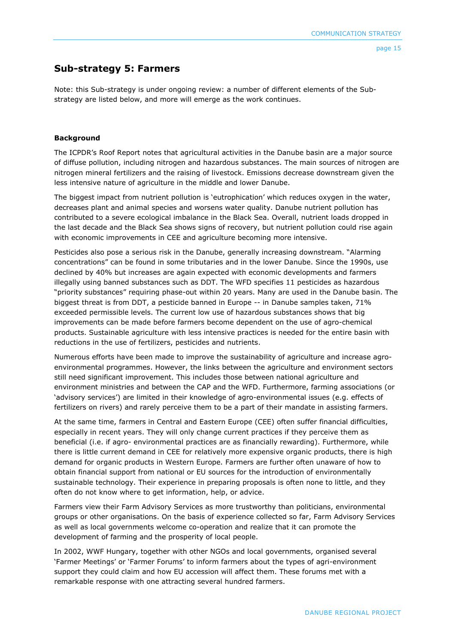## **Sub-strategy 5: Farmers**

Note: this Sub-strategy is under ongoing review: a number of different elements of the Substrategy are listed below, and more will emerge as the work continues.

## **Background**

The ICPDR's Roof Report notes that agricultural activities in the Danube basin are a major source of diffuse pollution, including nitrogen and hazardous substances. The main sources of nitrogen are nitrogen mineral fertilizers and the raising of livestock. Emissions decrease downstream given the less intensive nature of agriculture in the middle and lower Danube.

The biggest impact from nutrient pollution is 'eutrophication' which reduces oxygen in the water, decreases plant and animal species and worsens water quality. Danube nutrient pollution has contributed to a severe ecological imbalance in the Black Sea. Overall, nutrient loads dropped in the last decade and the Black Sea shows signs of recovery, but nutrient pollution could rise again with economic improvements in CEE and agriculture becoming more intensive.

Pesticides also pose a serious risk in the Danube, generally increasing downstream. "Alarming concentrations" can be found in some tributaries and in the lower Danube. Since the 1990s, use declined by 40% but increases are again expected with economic developments and farmers illegally using banned substances such as DDT. The WFD specifies 11 pesticides as hazardous "priority substances" requiring phase-out within 20 years. Many are used in the Danube basin. The biggest threat is from DDT, a pesticide banned in Europe -- in Danube samples taken, 71% exceeded permissible levels. The current low use of hazardous substances shows that big improvements can be made before farmers become dependent on the use of agro-chemical products. Sustainable agriculture with less intensive practices is needed for the entire basin with reductions in the use of fertilizers, pesticides and nutrients.

Numerous efforts have been made to improve the sustainability of agriculture and increase agroenvironmental programmes. However, the links between the agriculture and environment sectors still need significant improvement. This includes those between national agriculture and environment ministries and between the CAP and the WFD. Furthermore, farming associations (or 'advisory services') are limited in their knowledge of agro-environmental issues (e.g. effects of fertilizers on rivers) and rarely perceive them to be a part of their mandate in assisting farmers.

At the same time, farmers in Central and Eastern Europe (CEE) often suffer financial difficulties, especially in recent years. They will only change current practices if they perceive them as beneficial (i.e. if agro- environmental practices are as financially rewarding). Furthermore, while there is little current demand in CEE for relatively more expensive organic products, there is high demand for organic products in Western Europe. Farmers are further often unaware of how to obtain financial support from national or EU sources for the introduction of environmentally sustainable technology. Their experience in preparing proposals is often none to little, and they often do not know where to get information, help, or advice.

Farmers view their Farm Advisory Services as more trustworthy than politicians, environmental groups or other organisations. On the basis of experience collected so far, Farm Advisory Services as well as local governments welcome co-operation and realize that it can promote the development of farming and the prosperity of local people.

In 2002, WWF Hungary, together with other NGOs and local governments, organised several 'Farmer Meetings' or 'Farmer Forums' to inform farmers about the types of agri-environment support they could claim and how EU accession will affect them. These forums met with a remarkable response with one attracting several hundred farmers.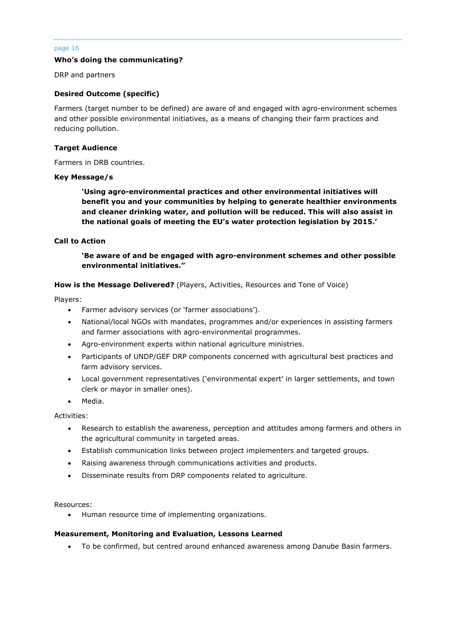#### **Who's doing the communicating?**

DRP and partners

#### **Desired Outcome (specific)**

Farmers (target number to be defined) are aware of and engaged with agro-environment schemes and other possible environmental initiatives, as a means of changing their farm practices and reducing pollution.

#### **Target Audience**

Farmers in DRB countries.

#### **Key Message/s**

**'Using agro-environmental practices and other environmental initiatives will benefit you and your communities by helping to generate healthier environments and cleaner drinking water, and pollution will be reduced. This will also assist in the national goals of meeting the EU's water protection legislation by 2015.'** 

#### **Call to Action**

**'Be aware of and be engaged with agro-environment schemes and other possible environmental initiatives."** 

#### **How is the Message Delivered?** (Players, Activities, Resources and Tone of Voice)

Players:

- Farmer advisory services (or 'farmer associations').
- National/local NGOs with mandates, programmes and/or experiences in assisting farmers and farmer associations with agro-environmental programmes.
- Agro-environment experts within national agriculture ministries.
- Participants of UNDP/GEF DRP components concerned with agricultural best practices and farm advisory services.
- Local government representatives ('environmental expert' in larger settlements, and town clerk or mayor in smaller ones).
- Media.

Activities:

- Research to establish the awareness, perception and attitudes among farmers and others in the agricultural community in targeted areas.
- Establish communication links between project implementers and targeted groups.
- Raising awareness through communications activities and products.
- Disseminate results from DRP components related to agriculture.

Resources:

• Human resource time of implementing organizations.

#### **Measurement, Monitoring and Evaluation, Lessons Learned**

• To be confirmed, but centred around enhanced awareness among Danube Basin farmers.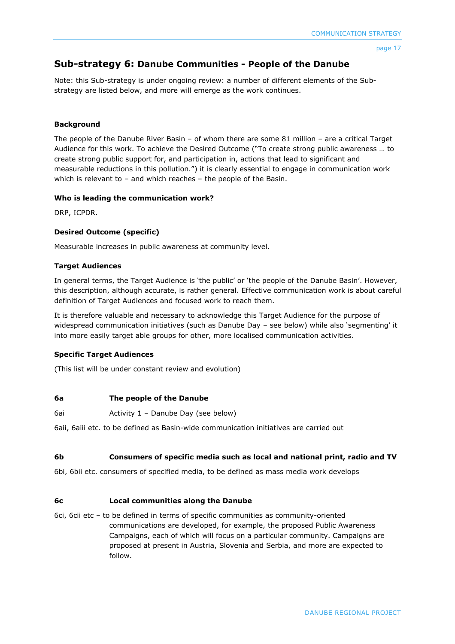## **Sub-strategy 6: Danube Communities - People of the Danube**

Note: this Sub-strategy is under ongoing review: a number of different elements of the Substrategy are listed below, and more will emerge as the work continues.

### **Background**

The people of the Danube River Basin – of whom there are some 81 million – are a critical Target Audience for this work. To achieve the Desired Outcome ("To create strong public awareness … to create strong public support for, and participation in, actions that lead to significant and measurable reductions in this pollution.") it is clearly essential to engage in communication work which is relevant to – and which reaches – the people of the Basin.

### **Who is leading the communication work?**

DRP, ICPDR.

## **Desired Outcome (specific)**

Measurable increases in public awareness at community level.

### **Target Audiences**

In general terms, the Target Audience is 'the public' or 'the people of the Danube Basin'. However, this description, although accurate, is rather general. Effective communication work is about careful definition of Target Audiences and focused work to reach them.

It is therefore valuable and necessary to acknowledge this Target Audience for the purpose of widespread communication initiatives (such as Danube Day – see below) while also 'segmenting' it into more easily target able groups for other, more localised communication activities.

## **Specific Target Audiences**

(This list will be under constant review and evolution)

#### **6a The people of the Danube**

6ai Activity 1 – Danube Day (see below)

6aii, 6aiii etc. to be defined as Basin-wide communication initiatives are carried out

#### **6b Consumers of specific media such as local and national print, radio and TV**

6bi, 6bii etc. consumers of specified media, to be defined as mass media work develops

## **6c Local communities along the Danube**

6ci, 6cii etc – to be defined in terms of specific communities as community-oriented communications are developed, for example, the proposed Public Awareness Campaigns, each of which will focus on a particular community. Campaigns are proposed at present in Austria, Slovenia and Serbia, and more are expected to follow.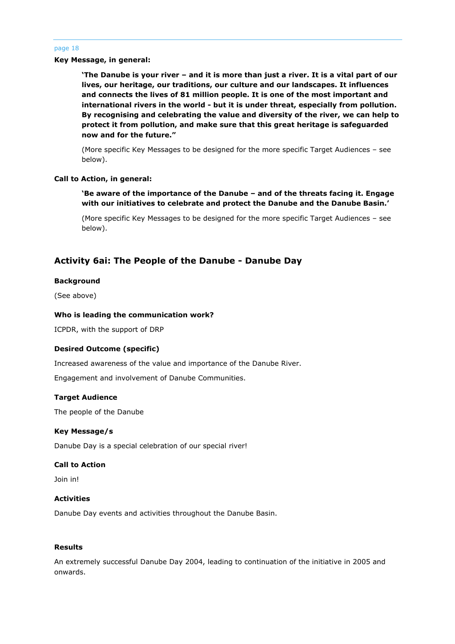#### **Key Message, in general:**

**'The Danube is your river – and it is more than just a river. It is a vital part of our lives, our heritage, our traditions, our culture and our landscapes. It influences and connects the lives of 81 million people. It is one of the most important and international rivers in the world - but it is under threat, especially from pollution. By recognising and celebrating the value and diversity of the river, we can help to protect it from pollution, and make sure that this great heritage is safeguarded now and for the future."** 

(More specific Key Messages to be designed for the more specific Target Audiences – see below).

#### **Call to Action, in general:**

**'Be aware of the importance of the Danube – and of the threats facing it. Engage with our initiatives to celebrate and protect the Danube and the Danube Basin.'** 

(More specific Key Messages to be designed for the more specific Target Audiences – see below).

### **Activity 6ai: The People of the Danube - Danube Day**

#### **Background**

(See above)

#### **Who is leading the communication work?**

ICPDR, with the support of DRP

#### **Desired Outcome (specific)**

Increased awareness of the value and importance of the Danube River.

Engagement and involvement of Danube Communities.

#### **Target Audience**

The people of the Danube

#### **Key Message/s**

Danube Day is a special celebration of our special river!

#### **Call to Action**

Join in!

### **Activities**

Danube Day events and activities throughout the Danube Basin.

#### **Results**

An extremely successful Danube Day 2004, leading to continuation of the initiative in 2005 and onwards.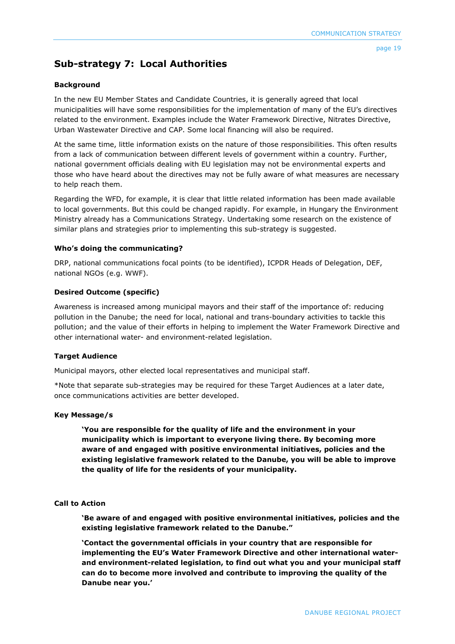## **Sub-strategy 7: Local Authorities**

## **Background**

In the new EU Member States and Candidate Countries, it is generally agreed that local municipalities will have some responsibilities for the implementation of many of the EU's directives related to the environment. Examples include the Water Framework Directive, Nitrates Directive, Urban Wastewater Directive and CAP. Some local financing will also be required.

At the same time, little information exists on the nature of those responsibilities. This often results from a lack of communication between different levels of government within a country. Further, national government officials dealing with EU legislation may not be environmental experts and those who have heard about the directives may not be fully aware of what measures are necessary to help reach them.

Regarding the WFD, for example, it is clear that little related information has been made available to local governments. But this could be changed rapidly. For example, in Hungary the Environment Ministry already has a Communications Strategy. Undertaking some research on the existence of similar plans and strategies prior to implementing this sub-strategy is suggested.

## **Who's doing the communicating?**

DRP, national communications focal points (to be identified), ICPDR Heads of Delegation, DEF, national NGOs (e.g. WWF).

## **Desired Outcome (specific)**

Awareness is increased among municipal mayors and their staff of the importance of: reducing pollution in the Danube; the need for local, national and trans-boundary activities to tackle this pollution; and the value of their efforts in helping to implement the Water Framework Directive and other international water- and environment-related legislation.

## **Target Audience**

Municipal mayors, other elected local representatives and municipal staff.

\*Note that separate sub-strategies may be required for these Target Audiences at a later date, once communications activities are better developed.

## **Key Message/s**

**'You are responsible for the quality of life and the environment in your municipality which is important to everyone living there. By becoming more aware of and engaged with positive environmental initiatives, policies and the existing legislative framework related to the Danube, you will be able to improve the quality of life for the residents of your municipality.** 

## **Call to Action**

**'Be aware of and engaged with positive environmental initiatives, policies and the existing legislative framework related to the Danube."** 

**'Contact the governmental officials in your country that are responsible for implementing the EU's Water Framework Directive and other international waterand environment-related legislation, to find out what you and your municipal staff can do to become more involved and contribute to improving the quality of the Danube near you.'**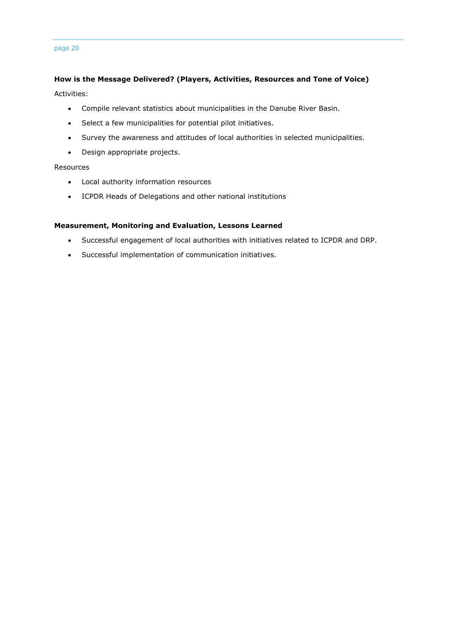## **How is the Message Delivered? (Players, Activities, Resources and Tone of Voice)**

Activities:

- Compile relevant statistics about municipalities in the Danube River Basin.
- Select a few municipalities for potential pilot initiatives.
- Survey the awareness and attitudes of local authorities in selected municipalities.
- Design appropriate projects.

### Resources

- Local authority information resources
- ICPDR Heads of Delegations and other national institutions

### **Measurement, Monitoring and Evaluation, Lessons Learned**

- Successful engagement of local authorities with initiatives related to ICPDR and DRP.
- Successful implementation of communication initiatives.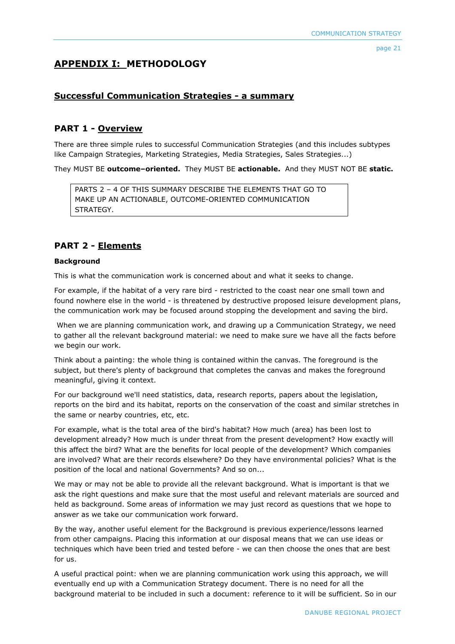## **APPENDIX I: METHODOLOGY**

## **Successful Communication Strategies - a summary**

## **PART 1 - Overview**

There are three simple rules to successful Communication Strategies (and this includes subtypes like Campaign Strategies, Marketing Strategies, Media Strategies, Sales Strategies...)

They MUST BE **outcome–oriented.** They MUST BE **actionable.** And they MUST NOT BE **static.**

PARTS 2 – 4 OF THIS SUMMARY DESCRIBE THE ELEMENTS THAT GO TO MAKE UP AN ACTIONABLE, OUTCOME-ORIENTED COMMUNICATION STRATEGY.

## **PART 2 - Elements**

### **Background**

This is what the communication work is concerned about and what it seeks to change.

For example, if the habitat of a very rare bird - restricted to the coast near one small town and found nowhere else in the world - is threatened by destructive proposed leisure development plans, the communication work may be focused around stopping the development and saving the bird.

 When we are planning communication work, and drawing up a Communication Strategy, we need to gather all the relevant background material: we need to make sure we have all the facts before we begin our work.

Think about a painting: the whole thing is contained within the canvas. The foreground is the subject, but there's plenty of background that completes the canvas and makes the foreground meaningful, giving it context.

For our background we'll need statistics, data, research reports, papers about the legislation, reports on the bird and its habitat, reports on the conservation of the coast and similar stretches in the same or nearby countries, etc, etc.

For example, what is the total area of the bird's habitat? How much (area) has been lost to development already? How much is under threat from the present development? How exactly will this affect the bird? What are the benefits for local people of the development? Which companies are involved? What are their records elsewhere? Do they have environmental policies? What is the position of the local and national Governments? And so on...

We may or may not be able to provide all the relevant background. What is important is that we ask the right questions and make sure that the most useful and relevant materials are sourced and held as background. Some areas of information we may just record as questions that we hope to answer as we take our communication work forward.

By the way, another useful element for the Background is previous experience/lessons learned from other campaigns. Placing this information at our disposal means that we can use ideas or techniques which have been tried and tested before - we can then choose the ones that are best for us.

A useful practical point: when we are planning communication work using this approach, we will eventually end up with a Communication Strategy document. There is no need for all the background material to be included in such a document: reference to it will be sufficient. So in our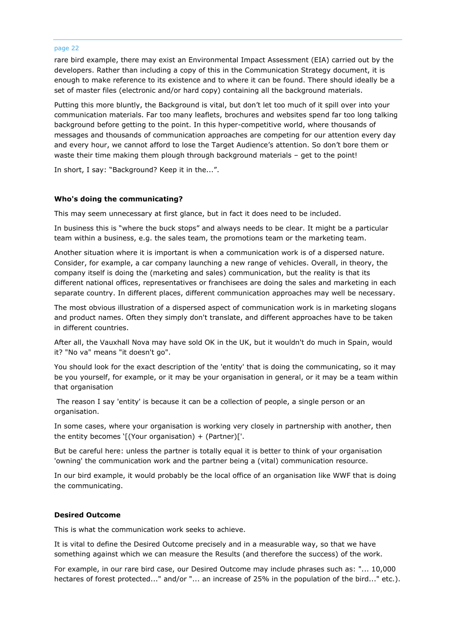rare bird example, there may exist an Environmental Impact Assessment (EIA) carried out by the developers. Rather than including a copy of this in the Communication Strategy document, it is enough to make reference to its existence and to where it can be found. There should ideally be a set of master files (electronic and/or hard copy) containing all the background materials.

Putting this more bluntly, the Background is vital, but don't let too much of it spill over into your communication materials. Far too many leaflets, brochures and websites spend far too long talking background before getting to the point. In this hyper-competitive world, where thousands of messages and thousands of communication approaches are competing for our attention every day and every hour, we cannot afford to lose the Target Audience's attention. So don't bore them or waste their time making them plough through background materials – get to the point!

In short, I say: "Background? Keep it in the...".

#### **Who's doing the communicating?**

This may seem unnecessary at first glance, but in fact it does need to be included.

In business this is "where the buck stops" and always needs to be clear. It might be a particular team within a business, e.g. the sales team, the promotions team or the marketing team.

Another situation where it is important is when a communication work is of a dispersed nature. Consider, for example, a car company launching a new range of vehicles. Overall, in theory, the company itself is doing the (marketing and sales) communication, but the reality is that its different national offices, representatives or franchisees are doing the sales and marketing in each separate country. In different places, different communication approaches may well be necessary.

The most obvious illustration of a dispersed aspect of communication work is in marketing slogans and product names. Often they simply don't translate, and different approaches have to be taken in different countries.

After all, the Vauxhall Nova may have sold OK in the UK, but it wouldn't do much in Spain, would it? "No va" means "it doesn't go".

You should look for the exact description of the 'entity' that is doing the communicating, so it may be you yourself, for example, or it may be your organisation in general, or it may be a team within that organisation

 The reason I say 'entity' is because it can be a collection of people, a single person or an organisation.

In some cases, where your organisation is working very closely in partnership with another, then the entity becomes '[(Your organisation) + (Partner)['.

But be careful here: unless the partner is totally equal it is better to think of your organisation 'owning' the communication work and the partner being a (vital) communication resource.

In our bird example, it would probably be the local office of an organisation like WWF that is doing the communicating.

#### **Desired Outcome**

This is what the communication work seeks to achieve.

It is vital to define the Desired Outcome precisely and in a measurable way, so that we have something against which we can measure the Results (and therefore the success) of the work.

For example, in our rare bird case, our Desired Outcome may include phrases such as: "... 10,000 hectares of forest protected..." and/or "... an increase of 25% in the population of the bird..." etc.).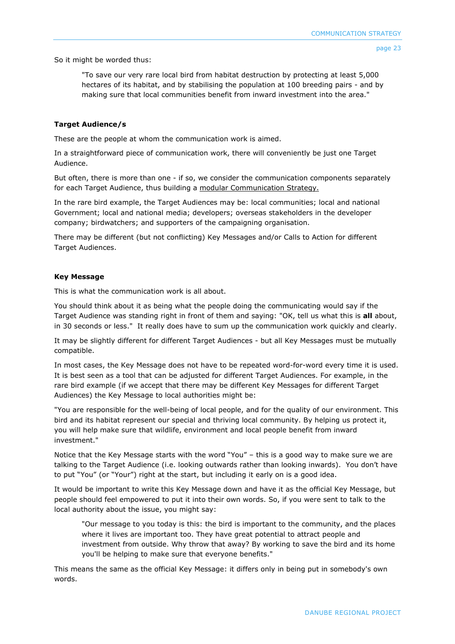So it might be worded thus:

"To save our very rare local bird from habitat destruction by protecting at least 5,000 hectares of its habitat, and by stabilising the population at 100 breeding pairs - and by making sure that local communities benefit from inward investment into the area."

## **Target Audience/s**

These are the people at whom the communication work is aimed.

In a straightforward piece of communication work, there will conveniently be just one Target Audience.

But often, there is more than one - if so, we consider the communication components separately for each Target Audience, thus building a modular Communication Strategy.

In the rare bird example, the Target Audiences may be: local communities; local and national Government; local and national media; developers; overseas stakeholders in the developer company; birdwatchers; and supporters of the campaigning organisation.

There may be different (but not conflicting) Key Messages and/or Calls to Action for different Target Audiences.

### **Key Message**

This is what the communication work is all about.

You should think about it as being what the people doing the communicating would say if the Target Audience was standing right in front of them and saying: "OK, tell us what this is **all** about, in 30 seconds or less." It really does have to sum up the communication work quickly and clearly.

It may be slightly different for different Target Audiences - but all Key Messages must be mutually compatible.

In most cases, the Key Message does not have to be repeated word-for-word every time it is used. It is best seen as a tool that can be adjusted for different Target Audiences. For example, in the rare bird example (if we accept that there may be different Key Messages for different Target Audiences) the Key Message to local authorities might be:

"You are responsible for the well-being of local people, and for the quality of our environment. This bird and its habitat represent our special and thriving local community. By helping us protect it, you will help make sure that wildlife, environment and local people benefit from inward investment."

Notice that the Key Message starts with the word "You" – this is a good way to make sure we are talking to the Target Audience (i.e. looking outwards rather than looking inwards). You don't have to put "You" (or "Your") right at the start, but including it early on is a good idea.

It would be important to write this Key Message down and have it as the official Key Message, but people should feel empowered to put it into their own words. So, if you were sent to talk to the local authority about the issue, you might say:

"Our message to you today is this: the bird is important to the community, and the places where it lives are important too. They have great potential to attract people and investment from outside. Why throw that away? By working to save the bird and its home you'll be helping to make sure that everyone benefits."

This means the same as the official Key Message: it differs only in being put in somebody's own words.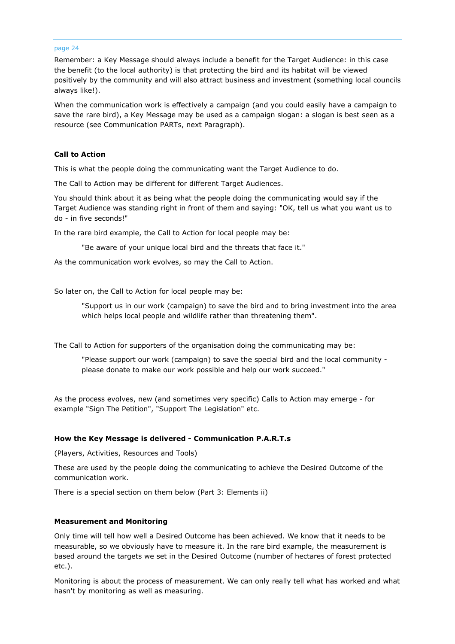Remember: a Key Message should always include a benefit for the Target Audience: in this case the benefit (to the local authority) is that protecting the bird and its habitat will be viewed positively by the community and will also attract business and investment (something local councils always like!).

When the communication work is effectively a campaign (and you could easily have a campaign to save the rare bird), a Key Message may be used as a campaign slogan: a slogan is best seen as a resource (see Communication PARTs, next Paragraph).

#### **Call to Action**

This is what the people doing the communicating want the Target Audience to do.

The Call to Action may be different for different Target Audiences.

You should think about it as being what the people doing the communicating would say if the Target Audience was standing right in front of them and saying: "OK, tell us what you want us to do - in five seconds!"

In the rare bird example, the Call to Action for local people may be:

"Be aware of your unique local bird and the threats that face it."

As the communication work evolves, so may the Call to Action.

So later on, the Call to Action for local people may be:

"Support us in our work (campaign) to save the bird and to bring investment into the area which helps local people and wildlife rather than threatening them".

The Call to Action for supporters of the organisation doing the communicating may be:

"Please support our work (campaign) to save the special bird and the local community please donate to make our work possible and help our work succeed."

As the process evolves, new (and sometimes very specific) Calls to Action may emerge - for example "Sign The Petition", "Support The Legislation" etc.

#### **How the Key Message is delivered - Communication P.A.R.T.s**

(Players, Activities, Resources and Tools)

These are used by the people doing the communicating to achieve the Desired Outcome of the communication work.

There is a special section on them below (Part 3: Elements ii)

#### **Measurement and Monitoring**

Only time will tell how well a Desired Outcome has been achieved. We know that it needs to be measurable, so we obviously have to measure it. In the rare bird example, the measurement is based around the targets we set in the Desired Outcome (number of hectares of forest protected etc.).

Monitoring is about the process of measurement. We can only really tell what has worked and what hasn't by monitoring as well as measuring.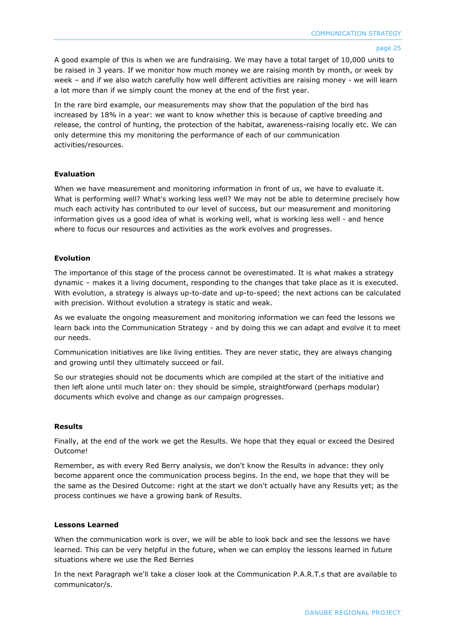A good example of this is when we are fundraising. We may have a total target of 10,000 units to be raised in 3 years. If we monitor how much money we are raising month by month, or week by week – and if we also watch carefully how well different activities are raising money - we will learn a lot more than if we simply count the money at the end of the first year.

In the rare bird example, our measurements may show that the population of the bird has increased by 18% in a year: we want to know whether this is because of captive breeding and release, the control of hunting, the protection of the habitat, awareness-raising locally etc. We can only determine this my monitoring the performance of each of our communication activities/resources.

#### **Evaluation**

When we have measurement and monitoring information in front of us, we have to evaluate it. What is performing well? What's working less well? We may not be able to determine precisely how much each activity has contributed to our level of success, but our measurement and monitoring information gives us a good idea of what is working well, what is working less well - and hence where to focus our resources and activities as the work evolves and progresses.

#### **Evolution**

The importance of this stage of the process cannot be overestimated. It is what makes a strategy dynamic – makes it a living document, responding to the changes that take place as it is executed. With evolution, a strategy is always up-to-date and up-to-speed; the next actions can be calculated with precision. Without evolution a strategy is static and weak.

As we evaluate the ongoing measurement and monitoring information we can feed the lessons we learn back into the Communication Strategy - and by doing this we can adapt and evolve it to meet our needs.

Communication initiatives are like living entities. They are never static, they are always changing and growing until they ultimately succeed or fail.

So our strategies should not be documents which are compiled at the start of the initiative and then left alone until much later on: they should be simple, straightforward (perhaps modular) documents which evolve and change as our campaign progresses.

#### **Results**

Finally, at the end of the work we get the Results. We hope that they equal or exceed the Desired Outcome!

Remember, as with every Red Berry analysis, we don't know the Results in advance: they only become apparent once the communication process begins. In the end, we hope that they will be the same as the Desired Outcome: right at the start we don't actually have any Results yet; as the process continues we have a growing bank of Results.

#### **Lessons Learned**

When the communication work is over, we will be able to look back and see the lessons we have learned. This can be very helpful in the future, when we can employ the lessons learned in future situations where we use the Red Berries

In the next Paragraph we'll take a closer look at the Communication P.A.R.T.s that are available to communicator/s.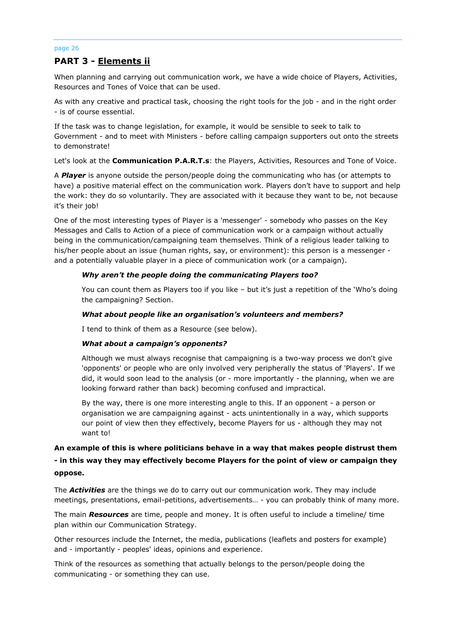## **PART 3 - Elements ii**

When planning and carrying out communication work, we have a wide choice of Players, Activities, Resources and Tones of Voice that can be used.

As with any creative and practical task, choosing the right tools for the job - and in the right order - is of course essential.

If the task was to change legislation, for example, it would be sensible to seek to talk to Government - and to meet with Ministers - before calling campaign supporters out onto the streets to demonstrate!

Let's look at the **Communication P.A.R.T.s**: the Players, Activities, Resources and Tone of Voice.

A *Player* is anyone outside the person/people doing the communicating who has (or attempts to have) a positive material effect on the communication work. Players don't have to support and help the work: they do so voluntarily. They are associated with it because they want to be, not because it's their job!

One of the most interesting types of Player is a 'messenger' - somebody who passes on the Key Messages and Calls to Action of a piece of communication work or a campaign without actually being in the communication/campaigning team themselves. Think of a religious leader talking to his/her people about an issue (human rights, say, or environment): this person is a messenger and a potentially valuable player in a piece of communication work (or a campaign).

#### *Why aren't the people doing the communicating Players too?*

You can count them as Players too if you like – but it's just a repetition of the 'Who's doing the campaigning? Section.

#### *What about people like an organisation's volunteers and members?*

I tend to think of them as a Resource (see below).

#### *What about a campaign's opponents?*

Although we must always recognise that campaigning is a two-way process we don't give 'opponents' or people who are only involved very peripherally the status of 'Players'. If we did, it would soon lead to the analysis (or - more importantly - the planning, when we are looking forward rather than back) becoming confused and impractical.

By the way, there is one more interesting angle to this. If an opponent - a person or organisation we are campaigning against - acts unintentionally in a way, which supports our point of view then they effectively, become Players for us - although they may not want to!

## **An example of this is where politicians behave in a way that makes people distrust them - in this way they may effectively become Players for the point of view or campaign they oppose.**

The *Activities* are the things we do to carry out our communication work. They may include meetings, presentations, email-petitions, advertisements… - you can probably think of many more.

The main *Resources* are time, people and money. It is often useful to include a timeline/ time plan within our Communication Strategy.

Other resources include the Internet, the media, publications (leaflets and posters for example) and - importantly - peoples' ideas, opinions and experience.

Think of the resources as something that actually belongs to the person/people doing the communicating - or something they can use.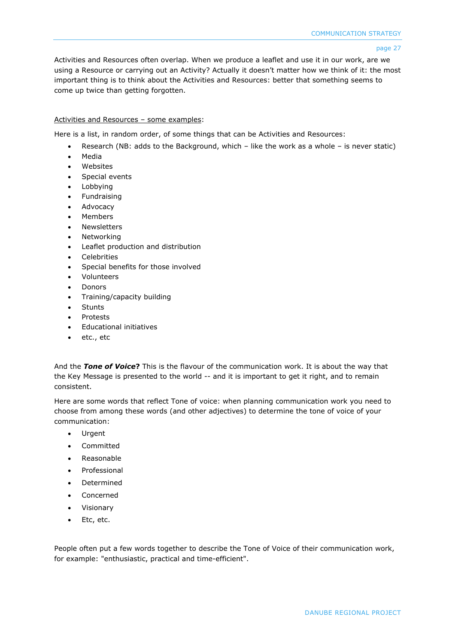Activities and Resources often overlap. When we produce a leaflet and use it in our work, are we using a Resource or carrying out an Activity? Actually it doesn't matter how we think of it: the most important thing is to think about the Activities and Resources: better that something seems to come up twice than getting forgotten.

#### Activities and Resources – some examples:

Here is a list, in random order, of some things that can be Activities and Resources:

- Research (NB: adds to the Background, which like the work as a whole is never static)
- Media
- Websites
- Special events
- Lobbying
- **Fundraising**
- Advocacy
- Members
- Newsletters
- Networking
- Leaflet production and distribution
- Celebrities
- Special benefits for those involved
- Volunteers
- **Donors**
- Training/capacity building
- Stunts
- Protests
- Educational initiatives
- etc., etc

And the *Tone of Voice***?** This is the flavour of the communication work. It is about the way that the Key Message is presented to the world -- and it is important to get it right, and to remain consistent.

Here are some words that reflect Tone of voice: when planning communication work you need to choose from among these words (and other adjectives) to determine the tone of voice of your communication:

- Urgent
- Committed
- Reasonable
- Professional
- Determined
- Concerned
- Visionary
- Etc, etc.

People often put a few words together to describe the Tone of Voice of their communication work, for example: "enthusiastic, practical and time-efficient".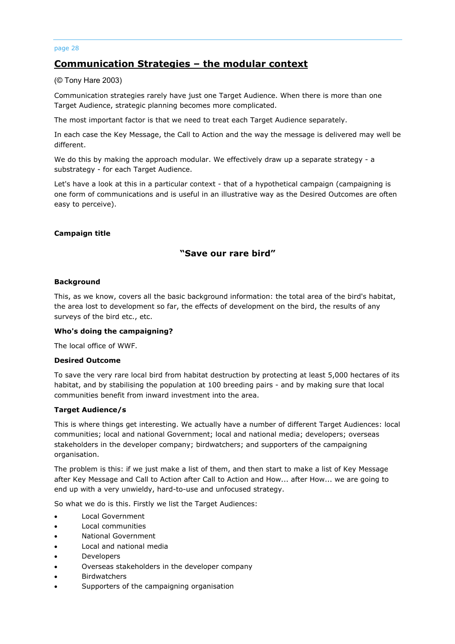## **Communication Strategies – the modular context**

#### (© Tony Hare 2003)

Communication strategies rarely have just one Target Audience. When there is more than one Target Audience, strategic planning becomes more complicated.

The most important factor is that we need to treat each Target Audience separately.

In each case the Key Message, the Call to Action and the way the message is delivered may well be different.

We do this by making the approach modular. We effectively draw up a separate strategy - a substrategy - for each Target Audience.

Let's have a look at this in a particular context - that of a hypothetical campaign (campaigning is one form of communications and is useful in an illustrative way as the Desired Outcomes are often easy to perceive).

#### **Campaign title**

## **"Save our rare bird"**

#### **Background**

This, as we know, covers all the basic background information: the total area of the bird's habitat, the area lost to development so far, the effects of development on the bird, the results of any surveys of the bird etc., etc.

#### **Who's doing the campaigning?**

The local office of WWF.

#### **Desired Outcome**

To save the very rare local bird from habitat destruction by protecting at least 5,000 hectares of its habitat, and by stabilising the population at 100 breeding pairs - and by making sure that local communities benefit from inward investment into the area.

#### **Target Audience/s**

This is where things get interesting. We actually have a number of different Target Audiences: local communities; local and national Government; local and national media; developers; overseas stakeholders in the developer company; birdwatchers; and supporters of the campaigning organisation.

The problem is this: if we just make a list of them, and then start to make a list of Key Message after Key Message and Call to Action after Call to Action and How... after How... we are going to end up with a very unwieldy, hard-to-use and unfocused strategy.

So what we do is this. Firstly we list the Target Audiences:

- Local Government
- Local communities
- National Government
- Local and national media
- Developers
- Overseas stakeholders in the developer company
- **Birdwatchers**
- Supporters of the campaigning organisation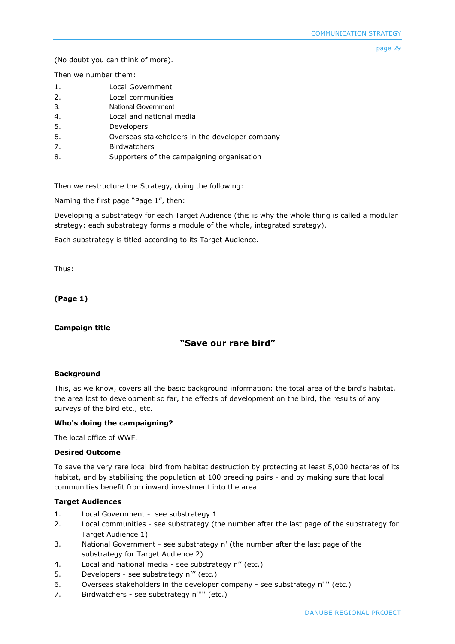(No doubt you can think of more).

Then we number them:

| Local Government |  |
|------------------|--|
|                  |  |

- 2. Local communities
- 3. National Government
- 4. Local and national media
- 5. Developers
- 6. Overseas stakeholders in the developer company
- 7. Birdwatchers
- 8. Supporters of the campaigning organisation

Then we restructure the Strategy, doing the following:

Naming the first page "Page 1", then:

Developing a substrategy for each Target Audience (this is why the whole thing is called a modular strategy: each substrategy forms a module of the whole, integrated strategy).

Each substrategy is titled according to its Target Audience.

Thus:

**(Page 1)**

**Campaign title**

## **"Save our rare bird"**

#### **Background**

This, as we know, covers all the basic background information: the total area of the bird's habitat, the area lost to development so far, the effects of development on the bird, the results of any surveys of the bird etc., etc.

## **Who's doing the campaigning?**

The local office of WWF.

#### **Desired Outcome**

To save the very rare local bird from habitat destruction by protecting at least 5,000 hectares of its habitat, and by stabilising the population at 100 breeding pairs - and by making sure that local communities benefit from inward investment into the area.

## **Target Audiences**

- 1. Local Government see substrategy 1
- 2. Local communities see substrategy (the number after the last page of the substrategy for Target Audience 1)
- 3. National Government see substrategy n' (the number after the last page of the substrategy for Target Audience 2)
- 4. Local and national media see substrategy n'' (etc.)
- 5. Developers see substrategy n''' (etc.)
- 6. Overseas stakeholders in the developer company see substrategy n'''' (etc.)
- 7. Birdwatchers see substrategy n''''' (etc.)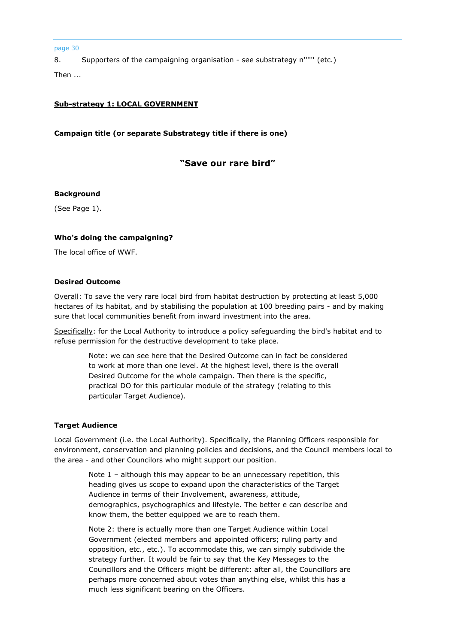8. Supporters of the campaigning organisation - see substrategy n'''''' (etc.)

Then ...

#### **Sub-strategy 1: LOCAL GOVERNMENT**

**Campaign title (or separate Substrategy title if there is one)** 

**"Save our rare bird"** 

#### **Background**

(See Page 1).

#### **Who's doing the campaigning?**

The local office of WWF.

#### **Desired Outcome**

Overall: To save the very rare local bird from habitat destruction by protecting at least 5,000 hectares of its habitat, and by stabilising the population at 100 breeding pairs - and by making sure that local communities benefit from inward investment into the area.

Specifically: for the Local Authority to introduce a policy safeguarding the bird's habitat and to refuse permission for the destructive development to take place.

> Note: we can see here that the Desired Outcome can in fact be considered to work at more than one level. At the highest level, there is the overall Desired Outcome for the whole campaign. Then there is the specific, practical DO for this particular module of the strategy (relating to this particular Target Audience).

#### **Target Audience**

Local Government (i.e. the Local Authority). Specifically, the Planning Officers responsible for environment, conservation and planning policies and decisions, and the Council members local to the area - and other Councilors who might support our position.

Note  $1$  – although this may appear to be an unnecessary repetition, this heading gives us scope to expand upon the characteristics of the Target Audience in terms of their Involvement, awareness, attitude, demographics, psychographics and lifestyle. The better e can describe and know them, the better equipped we are to reach them.

Note 2: there is actually more than one Target Audience within Local Government (elected members and appointed officers; ruling party and opposition, etc., etc.). To accommodate this, we can simply subdivide the strategy further. It would be fair to say that the Key Messages to the Councillors and the Officers might be different: after all, the Councillors are perhaps more concerned about votes than anything else, whilst this has a much less significant bearing on the Officers.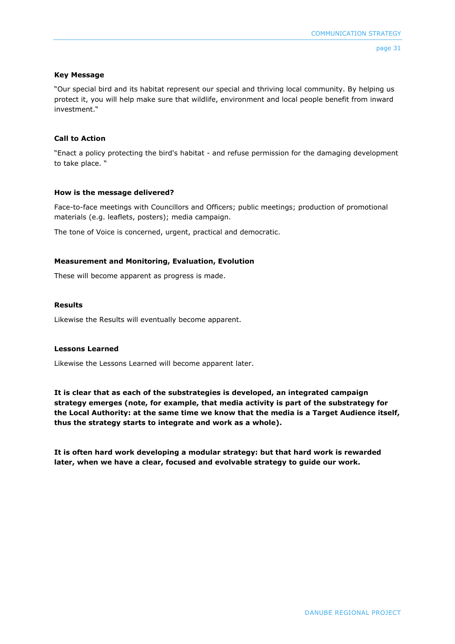### **Key Message**

"Our special bird and its habitat represent our special and thriving local community. By helping us protect it, you will help make sure that wildlife, environment and local people benefit from inward investment."

### **Call to Action**

"Enact a policy protecting the bird's habitat - and refuse permission for the damaging development to take place. "

### **How is the message delivered?**

Face-to-face meetings with Councillors and Officers; public meetings; production of promotional materials (e.g. leaflets, posters); media campaign.

The tone of Voice is concerned, urgent, practical and democratic.

### **Measurement and Monitoring, Evaluation, Evolution**

These will become apparent as progress is made.

### **Results**

Likewise the Results will eventually become apparent.

### **Lessons Learned**

Likewise the Lessons Learned will become apparent later.

**It is clear that as each of the substrategies is developed, an integrated campaign strategy emerges (note, for example, that media activity is part of the substrategy for the Local Authority: at the same time we know that the media is a Target Audience itself, thus the strategy starts to integrate and work as a whole).** 

**It is often hard work developing a modular strategy: but that hard work is rewarded later, when we have a clear, focused and evolvable strategy to guide our work.**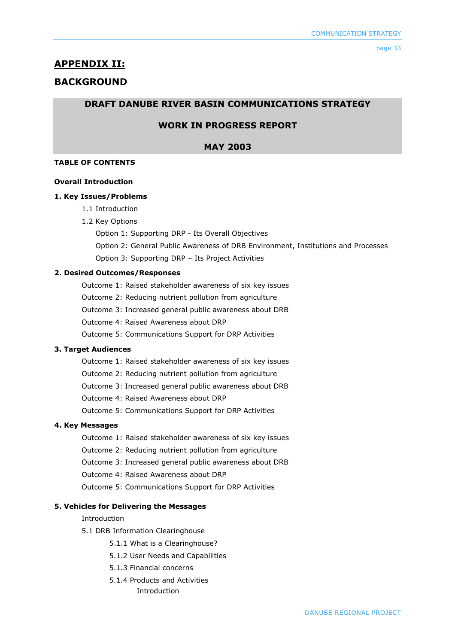# **APPENDIX II:**

# **BACKGROUND**

# **DRAFT DANUBE RIVER BASIN COMMUNICATIONS STRATEGY**

# **WORK IN PROGRESS REPORT**

# **MAY 2003**

# **TABLE OF CONTENTS**

### **Overall Introduction**

# **1. Key Issues/Problems**

- 1.1 Introduction
- 1.2 Key Options

Option 1: Supporting DRP - Its Overall Objectives

Option 2: General Public Awareness of DRB Environment, Institutions and Processes

Option 3: Supporting DRP – Its Project Activities

# **2. Desired Outcomes/Responses**

Outcome 1: Raised stakeholder awareness of six key issues

Outcome 2: Reducing nutrient pollution from agriculture

Outcome 3: Increased general public awareness about DRB

Outcome 4: Raised Awareness about DRP

Outcome 5: Communications Support for DRP Activities

# **3. Target Audiences**

Outcome 1: Raised stakeholder awareness of six key issues

Outcome 2: Reducing nutrient pollution from agriculture

Outcome 3: Increased general public awareness about DRB

Outcome 4: Raised Awareness about DRP

Outcome 5: Communications Support for DRP Activities

# **4. Key Messages**

Outcome 1: Raised stakeholder awareness of six key issues

Outcome 2: Reducing nutrient pollution from agriculture

Outcome 3: Increased general public awareness about DRB

Outcome 4: Raised Awareness about DRP

Outcome 5: Communications Support for DRP Activities

# **5. Vehicles for Delivering the Messages**

### Introduction

5.1 DRB Information Clearinghouse

5.1.1 What is a Clearinghouse?

- 5.1.2 User Needs and Capabilities
- 5.1.3 Financial concerns
- 5.1.4 Products and Activities

Introduction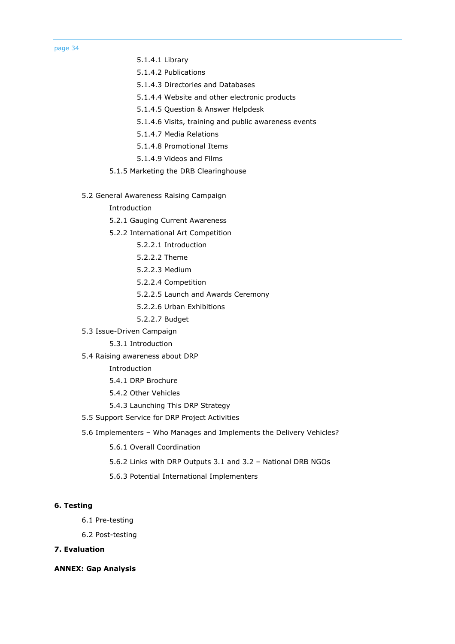- 5.1.4.1 Library
- 5.1.4.2 Publications
- 5.1.4.3 Directories and Databases
- 5.1.4.4 Website and other electronic products
- 5.1.4.5 Question & Answer Helpdesk
- 5.1.4.6 Visits, training and public awareness events
- 5.1.4.7 Media Relations
- 5.1.4.8 Promotional Items
- 5.1.4.9 Videos and Films
- 5.1.5 Marketing the DRB Clearinghouse
- 5.2 General Awareness Raising Campaign

### Introduction

- 5.2.1 Gauging Current Awareness
- 5.2.2 International Art Competition
	- 5.2.2.1 Introduction
	- 5.2.2.2 Theme
	- 5.2.2.3 Medium
	- 5.2.2.4 Competition
	- 5.2.2.5 Launch and Awards Ceremony
	- 5.2.2.6 Urban Exhibitions
	- 5.2.2.7 Budget
- 5.3 Issue-Driven Campaign
	- 5.3.1 Introduction
- 5.4 Raising awareness about DRP
	- Introduction
	- 5.4.1 DRP Brochure
	- 5.4.2 Other Vehicles
	- 5.4.3 Launching This DRP Strategy
- 5.5 Support Service for DRP Project Activities
- 5.6 Implementers Who Manages and Implements the Delivery Vehicles?
	- 5.6.1 Overall Coordination
	- 5.6.2 Links with DRP Outputs 3.1 and 3.2 National DRB NGOs
	- 5.6.3 Potential International Implementers

### **6. Testing**

6.1 Pre-testing

6.2 Post-testing

# **7. Evaluation**

**ANNEX: Gap Analysis**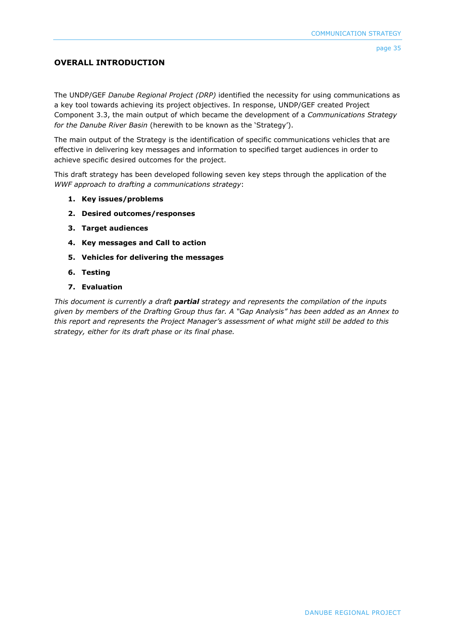# **OVERALL INTRODUCTION**

The UNDP/GEF *Danube Regional Project (DRP)* identified the necessity for using communications as a key tool towards achieving its project objectives. In response, UNDP/GEF created Project Component 3.3, the main output of which became the development of a *Communications Strategy for the Danube River Basin* (herewith to be known as the 'Strategy').

The main output of the Strategy is the identification of specific communications vehicles that are effective in delivering key messages and information to specified target audiences in order to achieve specific desired outcomes for the project.

This draft strategy has been developed following seven key steps through the application of the *WWF approach to drafting a communications strategy*:

- **1. Key issues/problems**
- **2. Desired outcomes/responses**
- **3. Target audiences**
- **4. Key messages and Call to action**
- **5. Vehicles for delivering the messages**
- **6. Testing**
- **7. Evaluation**

*This document is currently a draft partial strategy and represents the compilation of the inputs given by members of the Drafting Group thus far. A "Gap Analysis" has been added as an Annex to this report and represents the Project Manager's assessment of what might still be added to this strategy, either for its draft phase or its final phase.*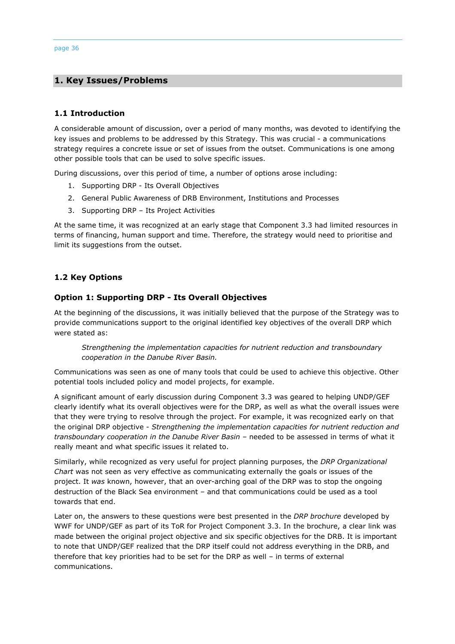# **1. Key Issues/Problems**

# **1.1 Introduction**

A considerable amount of discussion, over a period of many months, was devoted to identifying the key issues and problems to be addressed by this Strategy. This was crucial - a communications strategy requires a concrete issue or set of issues from the outset. Communications is one among other possible tools that can be used to solve specific issues.

During discussions, over this period of time, a number of options arose including:

- 1. Supporting DRP Its Overall Objectives
- 2. General Public Awareness of DRB Environment, Institutions and Processes
- 3. Supporting DRP Its Project Activities

At the same time, it was recognized at an early stage that Component 3.3 had limited resources in terms of financing, human support and time. Therefore, the strategy would need to prioritise and limit its suggestions from the outset.

# **1.2 Key Options**

# **Option 1: Supporting DRP - Its Overall Objectives**

At the beginning of the discussions, it was initially believed that the purpose of the Strategy was to provide communications support to the original identified key objectives of the overall DRP which were stated as:

*Strengthening the implementation capacities for nutrient reduction and transboundary cooperation in the Danube River Basin.* 

Communications was seen as one of many tools that could be used to achieve this objective. Other potential tools included policy and model projects, for example.

A significant amount of early discussion during Component 3.3 was geared to helping UNDP/GEF clearly identify what its overall objectives were for the DRP, as well as what the overall issues were that they were trying to resolve through the project. For example, it was recognized early on that the original DRP objective - *Strengthening the implementation capacities for nutrient reduction and transboundary cooperation in the Danube River Basin –* needed to be assessed in terms of what it really meant and what specific issues it related to.

Similarly, while recognized as very useful for project planning purposes, the *DRP Organizational Chart* was not seen as very effective as communicating externally the goals or issues of the project. It *was* known, however, that an over-arching goal of the DRP was to stop the ongoing destruction of the Black Sea environment – and that communications could be used as a tool towards that end.

Later on, the answers to these questions were best presented in the *DRP brochure* developed by WWF for UNDP/GEF as part of its ToR for Project Component 3.3. In the brochure, a clear link was made between the original project objective and six specific objectives for the DRB. It is important to note that UNDP/GEF realized that the DRP itself could not address everything in the DRB, and therefore that key priorities had to be set for the DRP as well – in terms of external communications.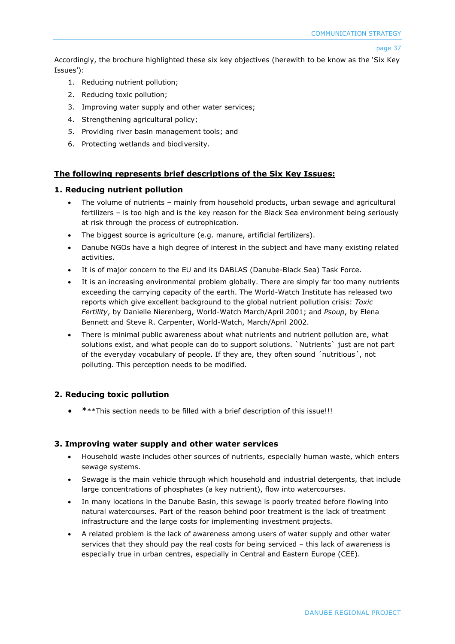Accordingly, the brochure highlighted these six key objectives (herewith to be know as the 'Six Key Issues'):

- 1. Reducing nutrient pollution;
- 2. Reducing toxic pollution;
- 3. Improving water supply and other water services;
- 4. Strengthening agricultural policy;
- 5. Providing river basin management tools; and
- 6. Protecting wetlands and biodiversity.

### **The following represents brief descriptions of the Six Key Issues:**

### **1. Reducing nutrient pollution**

- The volume of nutrients mainly from household products, urban sewage and agricultural fertilizers – is too high and is the key reason for the Black Sea environment being seriously at risk through the process of eutrophication.
- The biggest source is agriculture (e.g. manure, artificial fertilizers).
- Danube NGOs have a high degree of interest in the subject and have many existing related activities.
- It is of major concern to the EU and its DABLAS (Danube-Black Sea) Task Force.
- It is an increasing environmental problem globally. There are simply far too many nutrients exceeding the carrying capacity of the earth. The World-Watch Institute has released two reports which give excellent background to the global nutrient pollution crisis: *Toxic Fertility*, by Danielle Nierenberg, World-Watch March/April 2001; and *Psoup*, by Elena Bennett and Steve R. Carpenter, World-Watch, March/April 2002.
- There is minimal public awareness about what nutrients and nutrient pollution are, what solutions exist, and what people can do to support solutions. `Nutrients` just are not part of the everyday vocabulary of people. If they are, they often sound ´nutritious´, not polluting. This perception needs to be modified.

# **2. Reducing toxic pollution**

• \*\*\*This section needs to be filled with a brief description of this issue!!!

### **3. Improving water supply and other water services**

- Household waste includes other sources of nutrients, especially human waste, which enters sewage systems.
- Sewage is the main vehicle through which household and industrial detergents, that include large concentrations of phosphates (a key nutrient), flow into watercourses.
- In many locations in the Danube Basin, this sewage is poorly treated before flowing into natural watercourses. Part of the reason behind poor treatment is the lack of treatment infrastructure and the large costs for implementing investment projects.
- A related problem is the lack of awareness among users of water supply and other water services that they should pay the real costs for being serviced – this lack of awareness is especially true in urban centres, especially in Central and Eastern Europe (CEE).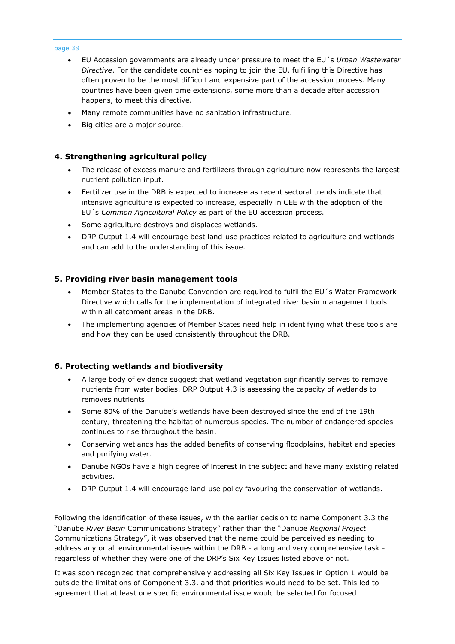- EU Accession governments are already under pressure to meet the EU´s *Urban Wastewater Directive*. For the candidate countries hoping to join the EU, fulfilling this Directive has often proven to be the most difficult and expensive part of the accession process. Many countries have been given time extensions, some more than a decade after accession happens, to meet this directive.
- Many remote communities have no sanitation infrastructure.
- Big cities are a major source.

# **4. Strengthening agricultural policy**

- The release of excess manure and fertilizers through agriculture now represents the largest nutrient pollution input.
- Fertilizer use in the DRB is expected to increase as recent sectoral trends indicate that intensive agriculture is expected to increase, especially in CEE with the adoption of the EU´s *Common Agricultural Policy* as part of the EU accession process.
- Some agriculture destroys and displaces wetlands.
- DRP Output 1.4 will encourage best land-use practices related to agriculture and wetlands and can add to the understanding of this issue.

### **5. Providing river basin management tools**

- Member States to the Danube Convention are required to fulfil the EU´s Water Framework Directive which calls for the implementation of integrated river basin management tools within all catchment areas in the DRB.
- The implementing agencies of Member States need help in identifying what these tools are and how they can be used consistently throughout the DRB.

### **6. Protecting wetlands and biodiversity**

- A large body of evidence suggest that wetland vegetation significantly serves to remove nutrients from water bodies. DRP Output 4.3 is assessing the capacity of wetlands to removes nutrients.
- Some 80% of the Danube's wetlands have been destroyed since the end of the 19th century, threatening the habitat of numerous species. The number of endangered species continues to rise throughout the basin.
- Conserving wetlands has the added benefits of conserving floodplains, habitat and species and purifying water.
- Danube NGOs have a high degree of interest in the subject and have many existing related activities.
- DRP Output 1.4 will encourage land-use policy favouring the conservation of wetlands.

Following the identification of these issues, with the earlier decision to name Component 3.3 the "Danube *River Basin* Communications Strategy" rather than the "Danube *Regional Project*  Communications Strategy", it was observed that the name could be perceived as needing to address any or all environmental issues within the DRB - a long and very comprehensive task regardless of whether they were one of the DRP's Six Key Issues listed above or not.

It was soon recognized that comprehensively addressing all Six Key Issues in Option 1 would be outside the limitations of Component 3.3, and that priorities would need to be set. This led to agreement that at least one specific environmental issue would be selected for focused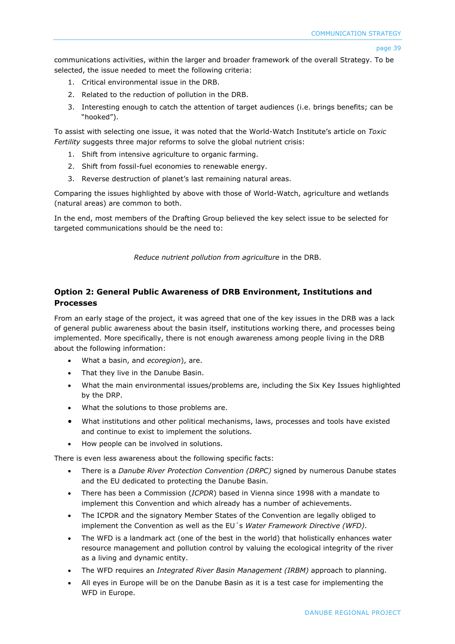communications activities, within the larger and broader framework of the overall Strategy. To be selected, the issue needed to meet the following criteria:

- 1. Critical environmental issue in the DRB.
- 2. Related to the reduction of pollution in the DRB.
- 3. Interesting enough to catch the attention of target audiences (i.e. brings benefits; can be "hooked").

To assist with selecting one issue, it was noted that the World-Watch Institute's article on *Toxic Fertility* suggests three major reforms to solve the global nutrient crisis:

- 1. Shift from intensive agriculture to organic farming.
- 2. Shift from fossil-fuel economies to renewable energy.
- 3. Reverse destruction of planet's last remaining natural areas.

Comparing the issues highlighted by above with those of World-Watch, agriculture and wetlands (natural areas) are common to both.

In the end, most members of the Drafting Group believed the key select issue to be selected for targeted communications should be the need to:

*Reduce nutrient pollution from agriculture* in the DRB.

# **Option 2: General Public Awareness of DRB Environment, Institutions and Processes**

From an early stage of the project, it was agreed that one of the key issues in the DRB was a lack of general public awareness about the basin itself, institutions working there, and processes being implemented. More specifically, there is not enough awareness among people living in the DRB about the following information:

- What a basin, and *ecoregion*), are.
- That they live in the Danube Basin.
- What the main environmental issues/problems are, including the Six Key Issues highlighted by the DRP.
- What the solutions to those problems are.
- What institutions and other political mechanisms, laws, processes and tools have existed and continue to exist to implement the solutions.
- How people can be involved in solutions.

There is even less awareness about the following specific facts:

- There is a *Danube River Protection Convention (DRPC)* signed by numerous Danube states and the EU dedicated to protecting the Danube Basin.
- There has been a Commission (*ICPDR*) based in Vienna since 1998 with a mandate to implement this Convention and which already has a number of achievements.
- The ICPDR and the signatory Member States of the Convention are legally obliged to implement the Convention as well as the EU´s *Water Framework Directive (WFD)*.
- The WFD is a landmark act (one of the best in the world) that holistically enhances water resource management and pollution control by valuing the ecological integrity of the river as a living and dynamic entity.
- The WFD requires an *Integrated River Basin Management (IRBM)* approach to planning.
- All eyes in Europe will be on the Danube Basin as it is a test case for implementing the WFD in Europe.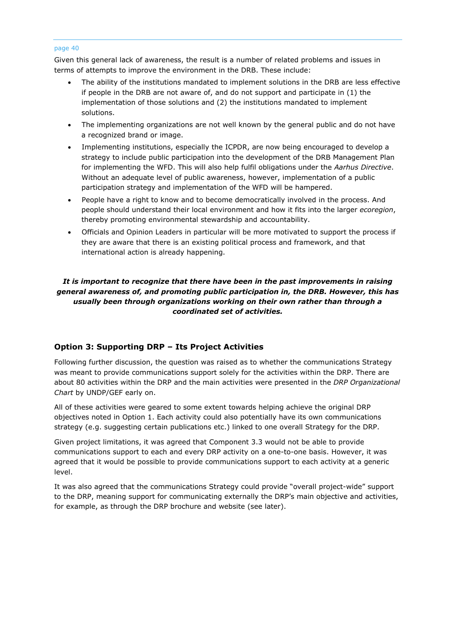Given this general lack of awareness, the result is a number of related problems and issues in terms of attempts to improve the environment in the DRB. These include:

- The ability of the institutions mandated to implement solutions in the DRB are less effective if people in the DRB are not aware of, and do not support and participate in (1) the implementation of those solutions and (2) the institutions mandated to implement solutions.
- The implementing organizations are not well known by the general public and do not have a recognized brand or image.
- Implementing institutions, especially the ICPDR, are now being encouraged to develop a strategy to include public participation into the development of the DRB Management Plan for implementing the WFD. This will also help fulfil obligations under the *Aarhus Directive*. Without an adequate level of public awareness, however, implementation of a public participation strategy and implementation of the WFD will be hampered.
- People have a right to know and to become democratically involved in the process. And people should understand their local environment and how it fits into the larger *ecoregion*, thereby promoting environmental stewardship and accountability.
- Officials and Opinion Leaders in particular will be more motivated to support the process if they are aware that there is an existing political process and framework, and that international action is already happening.

# *It is important to recognize that there have been in the past improvements in raising general awareness of, and promoting public participation in, the DRB. However, this has usually been through organizations working on their own rather than through a coordinated set of activities.*

# **Option 3: Supporting DRP – Its Project Activities**

Following further discussion, the question was raised as to whether the communications Strategy was meant to provide communications support solely for the activities within the DRP. There are about 80 activities within the DRP and the main activities were presented in the *DRP Organizational Chart* by UNDP/GEF early on.

All of these activities were geared to some extent towards helping achieve the original DRP objectives noted in Option 1. Each activity could also potentially have its own communications strategy (e.g. suggesting certain publications etc.) linked to one overall Strategy for the DRP.

Given project limitations, it was agreed that Component 3.3 would not be able to provide communications support to each and every DRP activity on a one-to-one basis. However, it was agreed that it would be possible to provide communications support to each activity at a generic level.

It was also agreed that the communications Strategy could provide "overall project-wide" support to the DRP, meaning support for communicating externally the DRP's main objective and activities, for example, as through the DRP brochure and website (see later).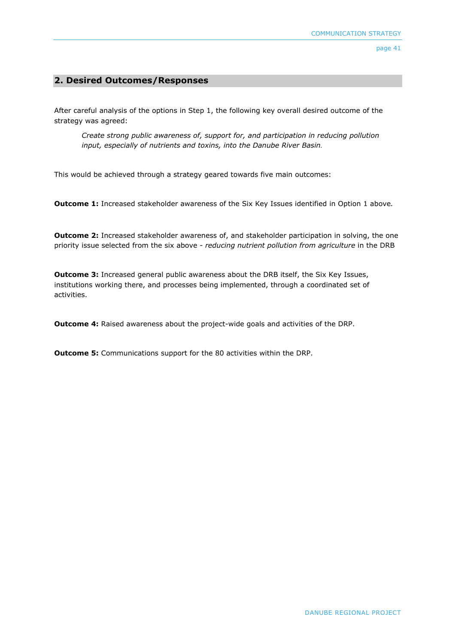# **2. Desired Outcomes/Responses**

After careful analysis of the options in Step 1, the following key overall desired outcome of the strategy was agreed:

*Create strong public awareness of, support for, and participation in reducing pollution input, especially of nutrients and toxins, into the Danube River Basin.* 

This would be achieved through a strategy geared towards five main outcomes:

**Outcome 1:** Increased stakeholder awareness of the Six Key Issues identified in Option 1 above*.*

**Outcome 2:** Increased stakeholder awareness of, and stakeholder participation in solving, the one priority issue selected from the six above - *reducing nutrient pollution from agriculture* in the DRB

**Outcome 3:** Increased general public awareness about the DRB itself, the Six Key Issues, institutions working there, and processes being implemented, through a coordinated set of activities.

**Outcome 4:** Raised awareness about the project-wide goals and activities of the DRP.

**Outcome 5:** Communications support for the 80 activities within the DRP.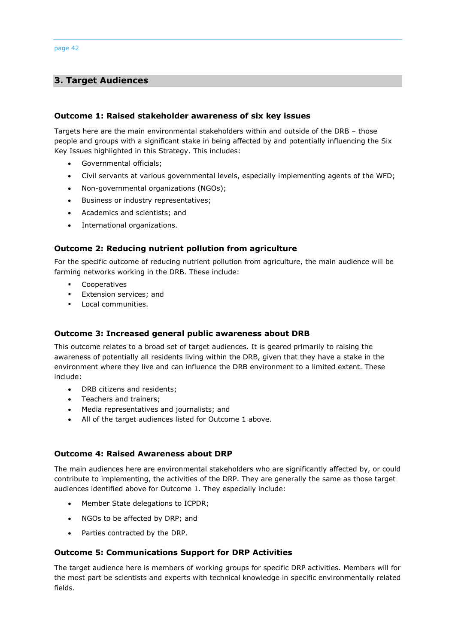# **3. Target Audiences**

# **Outcome 1: Raised stakeholder awareness of six key issues**

Targets here are the main environmental stakeholders within and outside of the DRB – those people and groups with a significant stake in being affected by and potentially influencing the Six Key Issues highlighted in this Strategy. This includes:

- Governmental officials;
- Civil servants at various governmental levels, especially implementing agents of the WFD;
- Non-governmental organizations (NGOs);
- Business or industry representatives;
- Academics and scientists; and
- International organizations.

# **Outcome 2: Reducing nutrient pollution from agriculture**

For the specific outcome of reducing nutrient pollution from agriculture, the main audience will be farming networks working in the DRB. These include:

- Cooperatives
- Extension services; and
- Local communities.

# **Outcome 3: Increased general public awareness about DRB**

This outcome relates to a broad set of target audiences. It is geared primarily to raising the awareness of potentially all residents living within the DRB, given that they have a stake in the environment where they live and can influence the DRB environment to a limited extent. These include:

- DRB citizens and residents;
- Teachers and trainers;
- Media representatives and journalists; and
- All of the target audiences listed for Outcome 1 above.

### **Outcome 4: Raised Awareness about DRP**

The main audiences here are environmental stakeholders who are significantly affected by, or could contribute to implementing, the activities of the DRP. They are generally the same as those target audiences identified above for Outcome 1. They especially include:

- Member State delegations to ICPDR;
- NGOs to be affected by DRP; and
- Parties contracted by the DRP.

# **Outcome 5: Communications Support for DRP Activities**

The target audience here is members of working groups for specific DRP activities. Members will for the most part be scientists and experts with technical knowledge in specific environmentally related fields.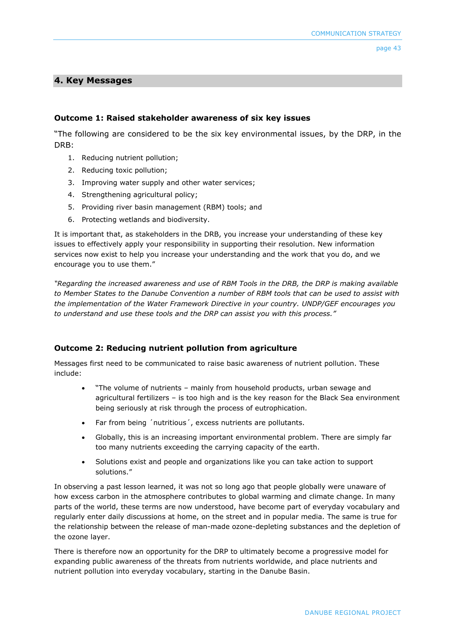# **4. Key Messages**

### **Outcome 1: Raised stakeholder awareness of six key issues**

"The following are considered to be the six key environmental issues, by the DRP, in the DRB:

- 1. Reducing nutrient pollution;
- 2. Reducing toxic pollution;
- 3. Improving water supply and other water services;
- 4. Strengthening agricultural policy;
- 5. Providing river basin management (RBM) tools; and
- 6. Protecting wetlands and biodiversity.

It is important that, as stakeholders in the DRB, you increase your understanding of these key issues to effectively apply your responsibility in supporting their resolution. New information services now exist to help you increase your understanding and the work that you do, and we encourage you to use them."

*"Regarding the increased awareness and use of RBM Tools in the DRB, the DRP is making available to Member States to the Danube Convention a number of RBM tools that can be used to assist with the implementation of the Water Framework Directive in your country. UNDP/GEF encourages you to understand and use these tools and the DRP can assist you with this process."* 

# **Outcome 2: Reducing nutrient pollution from agriculture**

Messages first need to be communicated to raise basic awareness of nutrient pollution. These include:

- "The volume of nutrients mainly from household products, urban sewage and agricultural fertilizers – is too high and is the key reason for the Black Sea environment being seriously at risk through the process of eutrophication.
- Far from being ´nutritious´, excess nutrients are pollutants.
- Globally, this is an increasing important environmental problem. There are simply far too many nutrients exceeding the carrying capacity of the earth.
- Solutions exist and people and organizations like you can take action to support solutions."

In observing a past lesson learned, it was not so long ago that people globally were unaware of how excess carbon in the atmosphere contributes to global warming and climate change. In many parts of the world, these terms are now understood, have become part of everyday vocabulary and regularly enter daily discussions at home, on the street and in popular media. The same is true for the relationship between the release of man-made ozone-depleting substances and the depletion of the ozone layer.

There is therefore now an opportunity for the DRP to ultimately become a progressive model for expanding public awareness of the threats from nutrients worldwide, and place nutrients and nutrient pollution into everyday vocabulary, starting in the Danube Basin.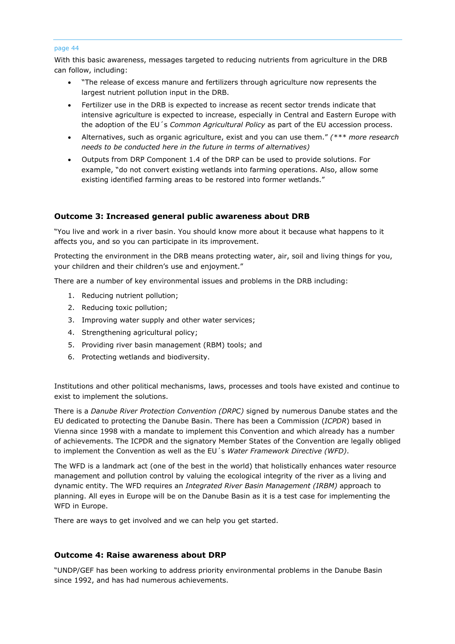With this basic awareness, messages targeted to reducing nutrients from agriculture in the DRB can follow, including:

- "The release of excess manure and fertilizers through agriculture now represents the largest nutrient pollution input in the DRB.
- Fertilizer use in the DRB is expected to increase as recent sector trends indicate that intensive agriculture is expected to increase, especially in Central and Eastern Europe with the adoption of the EU´s *Common Agricultural Policy* as part of the EU accession process.
- Alternatives, such as organic agriculture, exist and you can use them." *(\*\*\* more research needs to be conducted here in the future in terms of alternatives)*
- Outputs from DRP Component 1.4 of the DRP can be used to provide solutions. For example, "do not convert existing wetlands into farming operations. Also, allow some existing identified farming areas to be restored into former wetlands."

### **Outcome 3: Increased general public awareness about DRB**

"You live and work in a river basin. You should know more about it because what happens to it affects you, and so you can participate in its improvement.

Protecting the environment in the DRB means protecting water, air, soil and living things for you, your children and their children's use and enjoyment."

There are a number of key environmental issues and problems in the DRB including:

- 1. Reducing nutrient pollution;
- 2. Reducing toxic pollution;
- 3. Improving water supply and other water services;
- 4. Strengthening agricultural policy;
- 5. Providing river basin management (RBM) tools; and
- 6. Protecting wetlands and biodiversity.

Institutions and other political mechanisms, laws, processes and tools have existed and continue to exist to implement the solutions.

There is a *Danube River Protection Convention (DRPC)* signed by numerous Danube states and the EU dedicated to protecting the Danube Basin. There has been a Commission (*ICPDR*) based in Vienna since 1998 with a mandate to implement this Convention and which already has a number of achievements. The ICPDR and the signatory Member States of the Convention are legally obliged to implement the Convention as well as the EU´s *Water Framework Directive (WFD)*.

The WFD is a landmark act (one of the best in the world) that holistically enhances water resource management and pollution control by valuing the ecological integrity of the river as a living and dynamic entity. The WFD requires an *Integrated River Basin Management (IRBM)* approach to planning. All eyes in Europe will be on the Danube Basin as it is a test case for implementing the WFD in Europe.

There are ways to get involved and we can help you get started.

### **Outcome 4: Raise awareness about DRP**

"UNDP/GEF has been working to address priority environmental problems in the Danube Basin since 1992, and has had numerous achievements.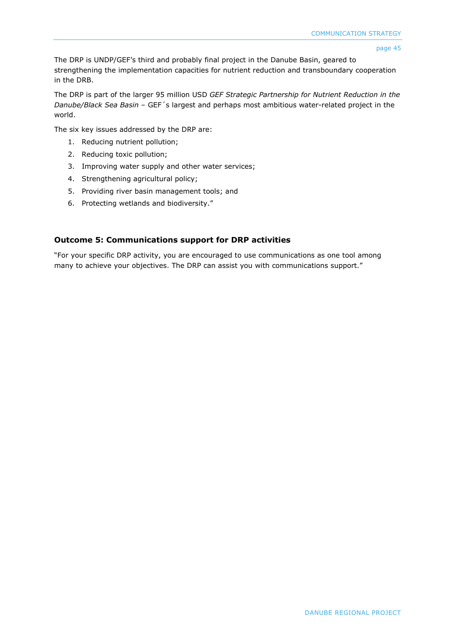The DRP is UNDP/GEF's third and probably final project in the Danube Basin, geared to strengthening the implementation capacities for nutrient reduction and transboundary cooperation in the DRB.

The DRP is part of the larger 95 million USD *GEF Strategic Partnership for Nutrient Reduction in the Danube/Black Sea Basin* – GEF´s largest and perhaps most ambitious water-related project in the world.

The six key issues addressed by the DRP are:

- 1. Reducing nutrient pollution;
- 2. Reducing toxic pollution;
- 3. Improving water supply and other water services;
- 4. Strengthening agricultural policy;
- 5. Providing river basin management tools; and
- 6. Protecting wetlands and biodiversity."

### **Outcome 5: Communications support for DRP activities**

"For your specific DRP activity, you are encouraged to use communications as one tool among many to achieve your objectives. The DRP can assist you with communications support."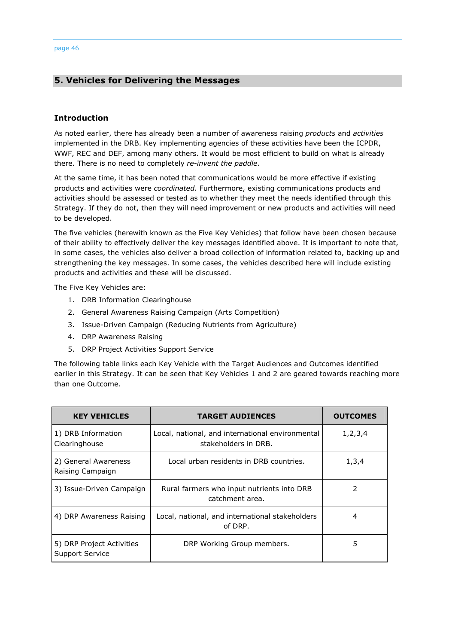# **5. Vehicles for Delivering the Messages**

### **Introduction**

As noted earlier, there has already been a number of awareness raising *products* and *activities*  implemented in the DRB. Key implementing agencies of these activities have been the ICPDR, WWF, REC and DEF, among many others. It would be most efficient to build on what is already there. There is no need to completely *re-invent the paddle*.

At the same time, it has been noted that communications would be more effective if existing products and activities were *coordinated*. Furthermore, existing communications products and activities should be assessed or tested as to whether they meet the needs identified through this Strategy. If they do not, then they will need improvement or new products and activities will need to be developed.

The five vehicles (herewith known as the Five Key Vehicles) that follow have been chosen because of their ability to effectively deliver the key messages identified above. It is important to note that, in some cases, the vehicles also deliver a broad collection of information related to, backing up and strengthening the key messages. In some cases, the vehicles described here will include existing products and activities and these will be discussed.

The Five Key Vehicles are:

- 1. DRB Information Clearinghouse
- 2. General Awareness Raising Campaign (Arts Competition)
- 3. Issue-Driven Campaign (Reducing Nutrients from Agriculture)
- 4. DRP Awareness Raising
- 5. DRP Project Activities Support Service

The following table links each Key Vehicle with the Target Audiences and Outcomes identified earlier in this Strategy. It can be seen that Key Vehicles 1 and 2 are geared towards reaching more than one Outcome.

| <b>KEY VEHICLES</b>                                 | <b>TARGET AUDIENCES</b>                                                  | <b>OUTCOMES</b> |
|-----------------------------------------------------|--------------------------------------------------------------------------|-----------------|
| 1) DRB Information<br>Clearinghouse                 | Local, national, and international environmental<br>stakeholders in DRB. | 1,2,3,4         |
| 2) General Awareness<br>Raising Campaign            | Local urban residents in DRB countries.                                  | 1,3,4           |
| 3) Issue-Driven Campaign                            | Rural farmers who input nutrients into DRB<br>catchment area.            | 2               |
| 4) DRP Awareness Raising                            | Local, national, and international stakeholders<br>of DRP.               | 4               |
| 5) DRP Project Activities<br><b>Support Service</b> | DRP Working Group members.                                               | 5               |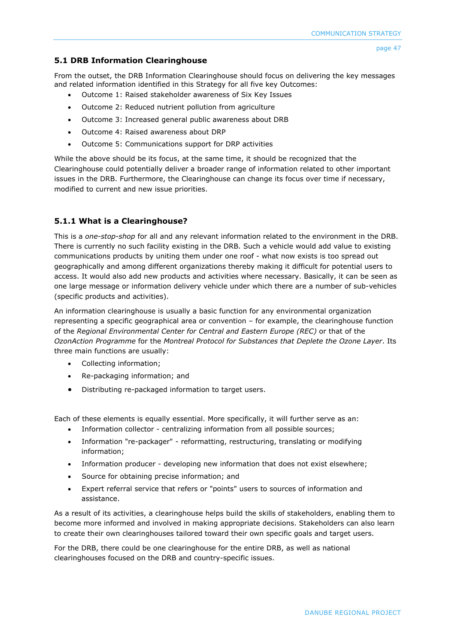# **5.1 DRB Information Clearinghouse**

From the outset, the DRB Information Clearinghouse should focus on delivering the key messages and related information identified in this Strategy for all five key Outcomes:

- Outcome 1: Raised stakeholder awareness of Six Key Issues
- Outcome 2: Reduced nutrient pollution from agriculture
- Outcome 3: Increased general public awareness about DRB
- Outcome 4: Raised awareness about DRP
- Outcome 5: Communications support for DRP activities

While the above should be its focus, at the same time, it should be recognized that the Clearinghouse could potentially deliver a broader range of information related to other important issues in the DRB. Furthermore, the Clearinghouse can change its focus over time if necessary, modified to current and new issue priorities.

# **5.1.1 What is a Clearinghouse?**

This is a *one-stop-shop* for all and any relevant information related to the environment in the DRB. There is currently no such facility existing in the DRB. Such a vehicle would add value to existing communications products by uniting them under one roof - what now exists is too spread out geographically and among different organizations thereby making it difficult for potential users to access. It would also add new products and activities where necessary. Basically, it can be seen as one large message or information delivery vehicle under which there are a number of sub-vehicles (specific products and activities).

An information clearinghouse is usually a basic function for any environmental organization representing a specific geographical area or convention – for example, the clearinghouse function of the *Regional Environmental Center for Central and Eastern Europe (REC)* or that of the *OzonAction Programme* for the *Montreal Protocol for Substances that Deplete the Ozone Layer*. Its three main functions are usually:

- Collecting information;
- Re-packaging information; and
- Distributing re-packaged information to target users.

Each of these elements is equally essential. More specifically, it will further serve as an:

- Information collector centralizing information from all possible sources;
- Information "re-packager" reformatting, restructuring, translating or modifying information;
- Information producer developing new information that does not exist elsewhere;
- Source for obtaining precise information; and
- Expert referral service that refers or "points" users to sources of information and assistance.

As a result of its activities, a clearinghouse helps build the skills of stakeholders, enabling them to become more informed and involved in making appropriate decisions. Stakeholders can also learn to create their own clearinghouses tailored toward their own specific goals and target users.

For the DRB, there could be one clearinghouse for the entire DRB, as well as national clearinghouses focused on the DRB and country-specific issues.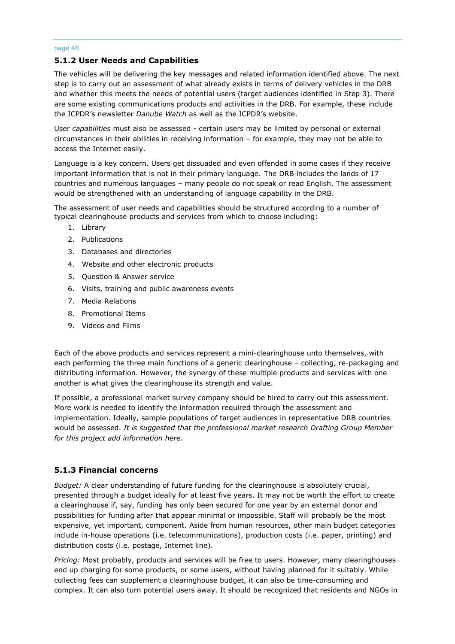### **5.1.2 User Needs and Capabilities**

The vehicles will be delivering the key messages and related information identified above. The next step is to carry out an assessment of what already exists in terms of delivery vehicles in the DRB and whether this meets the needs of potential users (target audiences identified in Step 3). There are some existing communications products and activities in the DRB. For example, these include the ICPDR's newsletter *Danube Watch* as well as the ICPDR's website.

User *capabilities* must also be assessed - certain users may be limited by personal or external circumstances in their abilities in receiving information – for example, they may not be able to access the Internet easily.

Language is a key concern. Users get dissuaded and even offended in some cases if they receive important information that is not in their primary language. The DRB includes the lands of 17 countries and numerous languages – many people do not speak or read English. The assessment would be strengthened with an understanding of language capability in the DRB.

The assessment of user needs and capabilities should be structured according to a number of typical clearinghouse products and services from which to choose including:

- 1. Library
- 2. Publications
- 3. Databases and directories
- 4. Website and other electronic products
- 5. Question & Answer service
- 6. Visits, training and public awareness events
- 7. Media Relations
- 8. Promotional Items
- 9. Videos and Films

Each of the above products and services represent a mini-clearinghouse unto themselves, with each performing the three main functions of a generic clearinghouse – collecting, re-packaging and distributing information. However, the synergy of these multiple products and services with one another is what gives the clearinghouse its strength and value.

If possible, a professional market survey company should be hired to carry out this assessment. More work is needed to identify the information required through the assessment and implementation. Ideally, sample populations of target audiences in representative DRB countries would be assessed. *It is suggested that the professional market research Drafting Group Member for this project add information here.* 

# **5.1.3 Financial concerns**

*Budget:* A clear understanding of future funding for the clearinghouse is absolutely crucial, presented through a budget ideally for at least five years. It may not be worth the effort to create a clearinghouse if, say, funding has only been secured for one year by an external donor and possibilities for funding after that appear minimal or impossible. Staff will probably be the most expensive, yet important, component. Aside from human resources, other main budget categories include in-house operations (i.e. telecommunications), production costs (i.e. paper, printing) and distribution costs (i.e. postage, Internet line).

*Pricing:* Most probably, products and services will be free to users. However, many clearinghouses end up charging for some products, or some users, without having planned for it suitably. While collecting fees can supplement a clearinghouse budget, it can also be time-consuming and complex. It can also turn potential users away. It should be recognized that residents and NGOs in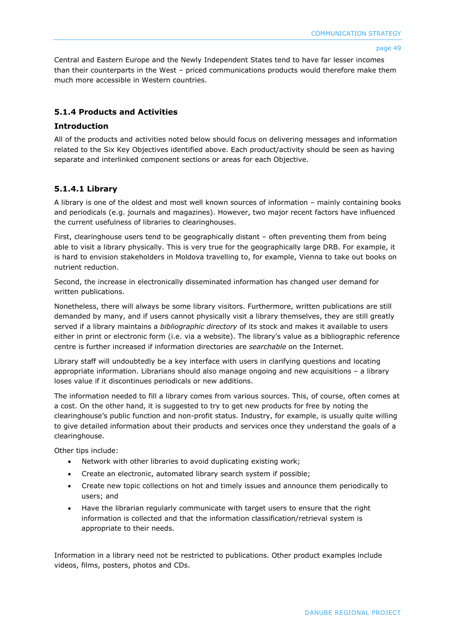Central and Eastern Europe and the Newly Independent States tend to have far lesser incomes than their counterparts in the West – priced communications products would therefore make them much more accessible in Western countries.

# **5.1.4 Products and Activities**

### **Introduction**

All of the products and activities noted below should focus on delivering messages and information related to the Six Key Objectives identified above. Each product/activity should be seen as having separate and interlinked component sections or areas for each Objective.

# **5.1.4.1 Library**

A library is one of the oldest and most well known sources of information – mainly containing books and periodicals (e.g. journals and magazines). However, two major recent factors have influenced the current usefulness of libraries to clearinghouses.

First, clearinghouse users tend to be geographically distant – often preventing them from being able to visit a library physically. This is very true for the geographically large DRB. For example, it is hard to envision stakeholders in Moldova travelling to, for example, Vienna to take out books on nutrient reduction.

Second, the increase in electronically disseminated information has changed user demand for written publications.

Nonetheless, there will always be some library visitors. Furthermore, written publications are still demanded by many, and if users cannot physically visit a library themselves, they are still greatly served if a library maintains a *bibliographic directory* of its stock and makes it available to users either in print or electronic form (i.e. via a website). The library's value as a bibliographic reference centre is further increased if information directories are *searchable* on the Internet.

Library staff will undoubtedly be a key interface with users in clarifying questions and locating appropriate information. Librarians should also manage ongoing and new acquisitions – a library loses value if it discontinues periodicals or new additions.

The information needed to fill a library comes from various sources. This, of course, often comes at a cost. On the other hand, it is suggested to try to get new products for free by noting the clearinghouse's public function and non-profit status. Industry, for example, is usually quite willing to give detailed information about their products and services once they understand the goals of a clearinghouse.

Other tips include:

- Network with other libraries to avoid duplicating existing work;
- Create an electronic, automated library search system if possible;
- Create new topic collections on hot and timely issues and announce them periodically to users; and
- Have the librarian regularly communicate with target users to ensure that the right information is collected and that the information classification/retrieval system is appropriate to their needs.

Information in a library need not be restricted to publications. Other product examples include videos, films, posters, photos and CDs.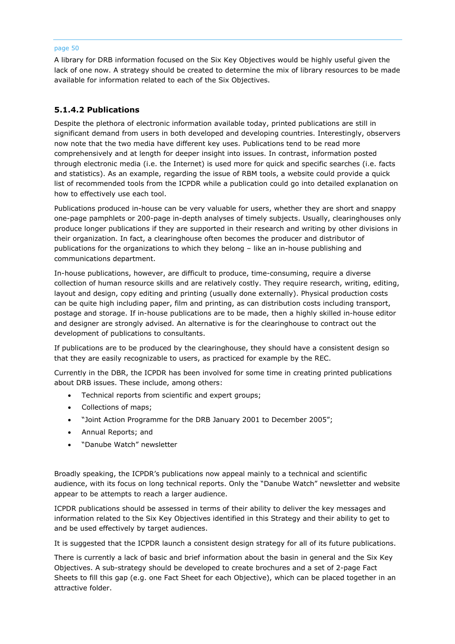A library for DRB information focused on the Six Key Objectives would be highly useful given the lack of one now. A strategy should be created to determine the mix of library resources to be made available for information related to each of the Six Objectives.

# **5.1.4.2 Publications**

Despite the plethora of electronic information available today, printed publications are still in significant demand from users in both developed and developing countries. Interestingly, observers now note that the two media have different key uses. Publications tend to be read more comprehensively and at length for deeper insight into issues. In contrast, information posted through electronic media (i.e. the Internet) is used more for quick and specific searches (i.e. facts and statistics). As an example, regarding the issue of RBM tools, a website could provide a quick list of recommended tools from the ICPDR while a publication could go into detailed explanation on how to effectively use each tool.

Publications produced in-house can be very valuable for users, whether they are short and snappy one-page pamphlets or 200-page in-depth analyses of timely subjects. Usually, clearinghouses only produce longer publications if they are supported in their research and writing by other divisions in their organization. In fact, a clearinghouse often becomes the producer and distributor of publications for the organizations to which they belong – like an in-house publishing and communications department.

In-house publications, however, are difficult to produce, time-consuming, require a diverse collection of human resource skills and are relatively costly. They require research, writing, editing, layout and design, copy editing and printing (usually done externally). Physical production costs can be quite high including paper, film and printing, as can distribution costs including transport, postage and storage. If in-house publications are to be made, then a highly skilled in-house editor and designer are strongly advised. An alternative is for the clearinghouse to contract out the development of publications to consultants.

If publications are to be produced by the clearinghouse, they should have a consistent design so that they are easily recognizable to users, as practiced for example by the REC.

Currently in the DBR, the ICPDR has been involved for some time in creating printed publications about DRB issues. These include, among others:

- Technical reports from scientific and expert groups;
- Collections of maps;
- "Joint Action Programme for the DRB January 2001 to December 2005";
- Annual Reports; and
- "Danube Watch" newsletter

Broadly speaking, the ICPDR's publications now appeal mainly to a technical and scientific audience, with its focus on long technical reports. Only the "Danube Watch" newsletter and website appear to be attempts to reach a larger audience.

ICPDR publications should be assessed in terms of their ability to deliver the key messages and information related to the Six Key Objectives identified in this Strategy and their ability to get to and be used effectively by target audiences.

It is suggested that the ICPDR launch a consistent design strategy for all of its future publications.

There is currently a lack of basic and brief information about the basin in general and the Six Key Objectives. A sub-strategy should be developed to create brochures and a set of 2-page Fact Sheets to fill this gap (e.g. one Fact Sheet for each Objective), which can be placed together in an attractive folder.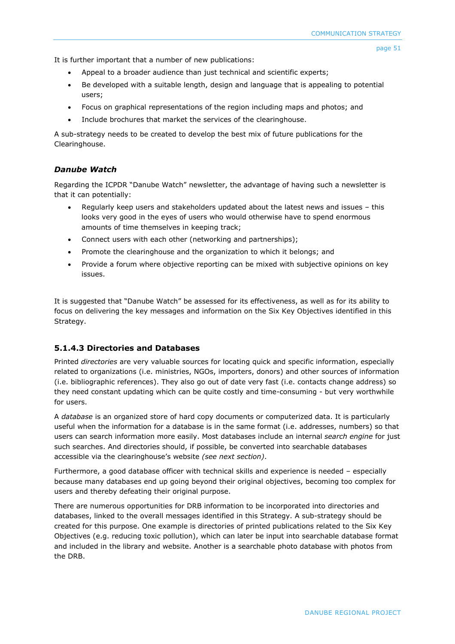It is further important that a number of new publications:

- Appeal to a broader audience than just technical and scientific experts;
- Be developed with a suitable length, design and language that is appealing to potential users;
- Focus on graphical representations of the region including maps and photos; and
- Include brochures that market the services of the clearinghouse.

A sub-strategy needs to be created to develop the best mix of future publications for the Clearinghouse.

# *Danube Watch*

Regarding the ICPDR "Danube Watch" newsletter, the advantage of having such a newsletter is that it can potentially:

- Regularly keep users and stakeholders updated about the latest news and issues this looks very good in the eyes of users who would otherwise have to spend enormous amounts of time themselves in keeping track;
- Connect users with each other (networking and partnerships);
- Promote the clearinghouse and the organization to which it belongs; and
- Provide a forum where objective reporting can be mixed with subjective opinions on key issues.

It is suggested that "Danube Watch" be assessed for its effectiveness, as well as for its ability to focus on delivering the key messages and information on the Six Key Objectives identified in this Strategy.

# **5.1.4.3 Directories and Databases**

Printed *directories* are very valuable sources for locating quick and specific information, especially related to organizations (i.e. ministries, NGOs, importers, donors) and other sources of information (i.e. bibliographic references). They also go out of date very fast (i.e. contacts change address) so they need constant updating which can be quite costly and time-consuming - but very worthwhile for users.

A *database* is an organized store of hard copy documents or computerized data. It is particularly useful when the information for a database is in the same format (i.e. addresses, numbers) so that users can search information more easily. Most databases include an internal *search engine* for just such searches. And directories should, if possible, be converted into searchable databases accessible via the clearinghouse's website *(see next section)*.

Furthermore, a good database officer with technical skills and experience is needed – especially because many databases end up going beyond their original objectives, becoming too complex for users and thereby defeating their original purpose.

There are numerous opportunities for DRB information to be incorporated into directories and databases, linked to the overall messages identified in this Strategy. A sub-strategy should be created for this purpose. One example is directories of printed publications related to the Six Key Objectives (e.g. reducing toxic pollution), which can later be input into searchable database format and included in the library and website. Another is a searchable photo database with photos from the DRB.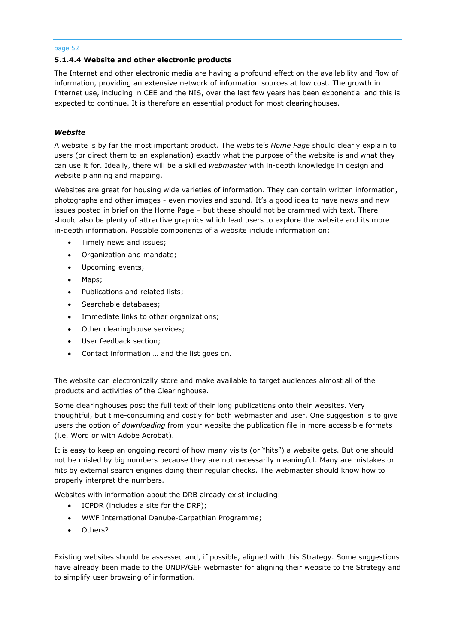### **5.1.4.4 Website and other electronic products**

The Internet and other electronic media are having a profound effect on the availability and flow of information, providing an extensive network of information sources at low cost. The growth in Internet use, including in CEE and the NIS, over the last few years has been exponential and this is expected to continue. It is therefore an essential product for most clearinghouses.

### *Website*

A website is by far the most important product. The website's *Home Page* should clearly explain to users (or direct them to an explanation) exactly what the purpose of the website is and what they can use it for. Ideally, there will be a skilled *webmaster* with in-depth knowledge in design and website planning and mapping.

Websites are great for housing wide varieties of information. They can contain written information, photographs and other images - even movies and sound. It's a good idea to have news and new issues posted in brief on the Home Page – but these should not be crammed with text. There should also be plenty of attractive graphics which lead users to explore the website and its more in-depth information. Possible components of a website include information on:

- Timely news and issues;
- Organization and mandate;
- Upcoming events;
- Maps;
- Publications and related lists;
- Searchable databases;
- Immediate links to other organizations;
- Other clearinghouse services;
- User feedback section:
- Contact information … and the list goes on.

The website can electronically store and make available to target audiences almost all of the products and activities of the Clearinghouse.

Some clearinghouses post the full text of their long publications onto their websites. Very thoughtful, but time-consuming and costly for both webmaster and user. One suggestion is to give users the option of *downloading* from your website the publication file in more accessible formats (i.e. Word or with Adobe Acrobat).

It is easy to keep an ongoing record of how many visits (or "hits") a website gets. But one should not be misled by big numbers because they are not necessarily meaningful. Many are mistakes or hits by external search engines doing their regular checks. The webmaster should know how to properly interpret the numbers.

Websites with information about the DRB already exist including:

- ICPDR (includes a site for the DRP);
- WWF International Danube-Carpathian Programme;
- Others?

Existing websites should be assessed and, if possible, aligned with this Strategy. Some suggestions have already been made to the UNDP/GEF webmaster for aligning their website to the Strategy and to simplify user browsing of information.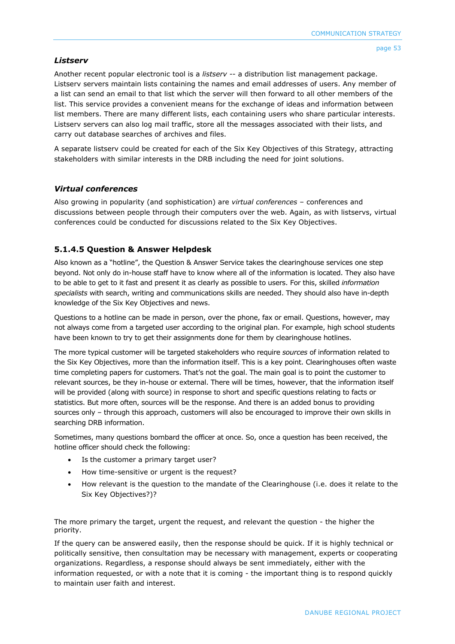# *Listserv*

Another recent popular electronic tool is a *listserv* -- a distribution list management package. Listserv servers maintain lists containing the names and email addresses of users. Any member of a list can send an email to that list which the server will then forward to all other members of the list. This service provides a convenient means for the exchange of ideas and information between list members. There are many different lists, each containing users who share particular interests. Listserv servers can also log mail traffic, store all the messages associated with their lists, and carry out database searches of archives and files.

A separate listserv could be created for each of the Six Key Objectives of this Strategy, attracting stakeholders with similar interests in the DRB including the need for joint solutions.

# *Virtual conferences*

Also growing in popularity (and sophistication) are *virtual conferences* – conferences and discussions between people through their computers over the web. Again, as with listservs, virtual conferences could be conducted for discussions related to the Six Key Objectives.

# **5.1.4.5 Question & Answer Helpdesk**

Also known as a "hotline", the Question & Answer Service takes the clearinghouse services one step beyond. Not only do in-house staff have to know where all of the information is located. They also have to be able to get to it fast and present it as clearly as possible to users. For this, skilled *information specialists* with search, writing and communications skills are needed. They should also have in-depth knowledge of the Six Key Objectives and news.

Questions to a hotline can be made in person, over the phone, fax or email. Questions, however, may not always come from a targeted user according to the original plan. For example, high school students have been known to try to get their assignments done for them by clearinghouse hotlines.

The more typical customer will be targeted stakeholders who require *sources* of information related to the Six Key Objectives, more than the information itself. This is a key point. Clearinghouses often waste time completing papers for customers. That's not the goal. The main goal is to point the customer to relevant sources, be they in-house or external. There will be times, however, that the information itself will be provided (along with source) in response to short and specific questions relating to facts or statistics. But more often, sources will be the response. And there is an added bonus to providing sources only - through this approach, customers will also be encouraged to improve their own skills in searching DRB information.

Sometimes, many questions bombard the officer at once. So, once a question has been received, the hotline officer should check the following:

- Is the customer a primary target user?
- How time-sensitive or urgent is the request?
- How relevant is the question to the mandate of the Clearinghouse (i.e. does it relate to the Six Key Objectives?)?

The more primary the target, urgent the request, and relevant the question - the higher the priority.

If the query can be answered easily, then the response should be quick. If it is highly technical or politically sensitive, then consultation may be necessary with management, experts or cooperating organizations. Regardless, a response should always be sent immediately, either with the information requested, or with a note that it is coming - the important thing is to respond quickly to maintain user faith and interest.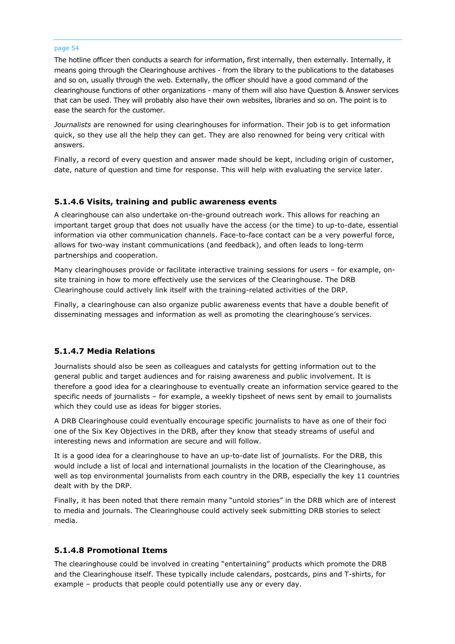The hotline officer then conducts a search for information, first internally, then externally. Internally, it means going through the Clearinghouse archives - from the library to the publications to the databases and so on, usually through the web. Externally, the officer should have a good command of the clearinghouse functions of other organizations - many of them will also have Question & Answer services that can be used. They will probably also have their own websites, libraries and so on. The point is to ease the search for the customer.

*Journalists* are renowned for using clearinghouses for information. Their job is to get information quick, so they use all the help they can get. They are also renowned for being very critical with answers.

Finally, a record of every question and answer made should be kept, including origin of customer, date, nature of question and time for response. This will help with evaluating the service later.

### **5.1.4.6 Visits, training and public awareness events**

A clearinghouse can also undertake on-the-ground outreach work. This allows for reaching an important target group that does not usually have the access (or the time) to up-to-date, essential information via other communication channels. Face-to-face contact can be a very powerful force, allows for two-way instant communications (and feedback), and often leads to long-term partnerships and cooperation.

Many clearinghouses provide or facilitate interactive training sessions for users – for example, onsite training in how to more effectively use the services of the Clearinghouse. The DRB Clearinghouse could actively link itself with the training-related activities of the DRP.

Finally, a clearinghouse can also organize public awareness events that have a double benefit of disseminating messages and information as well as promoting the clearinghouse's services.

# **5.1.4.7 Media Relations**

Journalists should also be seen as colleagues and catalysts for getting information out to the general public and target audiences and for raising awareness and public involvement. It is therefore a good idea for a clearinghouse to eventually create an information service geared to the specific needs of journalists – for example, a weekly tipsheet of news sent by email to journalists which they could use as ideas for bigger stories.

A DRB Clearinghouse could eventually encourage specific journalists to have as one of their foci one of the Six Key Objectives in the DRB, after they know that steady streams of useful and interesting news and information are secure and will follow.

It is a good idea for a clearinghouse to have an up-to-date list of journalists. For the DRB, this would include a list of local and international journalists in the location of the Clearinghouse, as well as top environmental journalists from each country in the DRB, especially the key 11 countries dealt with by the DRP.

Finally, it has been noted that there remain many "untold stories" in the DRB which are of interest to media and journals. The Clearinghouse could actively seek submitting DRB stories to select media.

# **5.1.4.8 Promotional Items**

The clearinghouse could be involved in creating "entertaining" products which promote the DRB and the Clearinghouse itself. These typically include calendars, postcards, pins and T-shirts, for example – products that people could potentially use any or every day.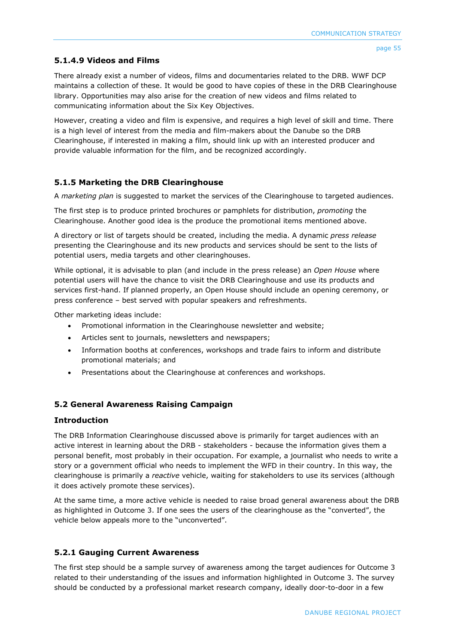# **5.1.4.9 Videos and Films**

There already exist a number of videos, films and documentaries related to the DRB. WWF DCP maintains a collection of these. It would be good to have copies of these in the DRB Clearinghouse library. Opportunities may also arise for the creation of new videos and films related to communicating information about the Six Key Objectives.

However, creating a video and film is expensive, and requires a high level of skill and time. There is a high level of interest from the media and film-makers about the Danube so the DRB Clearinghouse, if interested in making a film, should link up with an interested producer and provide valuable information for the film, and be recognized accordingly.

# **5.1.5 Marketing the DRB Clearinghouse**

A *marketing plan* is suggested to market the services of the Clearinghouse to targeted audiences.

The first step is to produce printed brochures or pamphlets for distribution, *promoting* the Clearinghouse. Another good idea is the produce the promotional items mentioned above.

A directory or list of targets should be created, including the media. A dynamic *press release*  presenting the Clearinghouse and its new products and services should be sent to the lists of potential users, media targets and other clearinghouses.

While optional, it is advisable to plan (and include in the press release) an *Open House* where potential users will have the chance to visit the DRB Clearinghouse and use its products and services first-hand. If planned properly, an Open House should include an opening ceremony, or press conference – best served with popular speakers and refreshments.

Other marketing ideas include:

- Promotional information in the Clearinghouse newsletter and website;
- Articles sent to journals, newsletters and newspapers;
- Information booths at conferences, workshops and trade fairs to inform and distribute promotional materials; and
- Presentations about the Clearinghouse at conferences and workshops.

# **5.2 General Awareness Raising Campaign**

# **Introduction**

The DRB Information Clearinghouse discussed above is primarily for target audiences with an active interest in learning about the DRB - stakeholders - because the information gives them a personal benefit, most probably in their occupation. For example, a journalist who needs to write a story or a government official who needs to implement the WFD in their country. In this way, the clearinghouse is primarily a *reactive* vehicle, waiting for stakeholders to use its services (although it does actively promote these services).

At the same time, a more active vehicle is needed to raise broad general awareness about the DRB as highlighted in Outcome 3. If one sees the users of the clearinghouse as the "converted", the vehicle below appeals more to the "unconverted".

# **5.2.1 Gauging Current Awareness**

The first step should be a sample survey of awareness among the target audiences for Outcome 3 related to their understanding of the issues and information highlighted in Outcome 3. The survey should be conducted by a professional market research company, ideally door-to-door in a few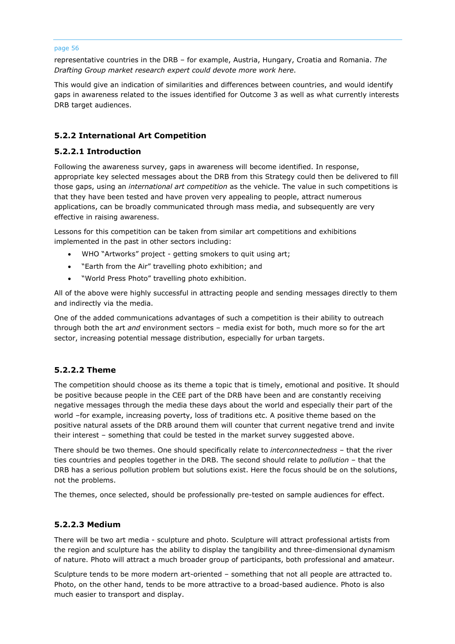representative countries in the DRB – for example, Austria, Hungary, Croatia and Romania. *The Drafting Group market research expert could devote more work here*.

This would give an indication of similarities and differences between countries, and would identify gaps in awareness related to the issues identified for Outcome 3 as well as what currently interests DRB target audiences.

# **5.2.2 International Art Competition**

# **5.2.2.1 Introduction**

Following the awareness survey, gaps in awareness will become identified. In response, appropriate key selected messages about the DRB from this Strategy could then be delivered to fill those gaps, using an *international art competition* as the vehicle. The value in such competitions is that they have been tested and have proven very appealing to people, attract numerous applications, can be broadly communicated through mass media, and subsequently are very effective in raising awareness.

Lessons for this competition can be taken from similar art competitions and exhibitions implemented in the past in other sectors including:

- WHO "Artworks" project getting smokers to quit using art;
- "Earth from the Air" travelling photo exhibition; and
- "World Press Photo" travelling photo exhibition.

All of the above were highly successful in attracting people and sending messages directly to them and indirectly via the media.

One of the added communications advantages of such a competition is their ability to outreach through both the art *and* environment sectors – media exist for both, much more so for the art sector, increasing potential message distribution, especially for urban targets.

# **5.2.2.2 Theme**

The competition should choose as its theme a topic that is timely, emotional and positive. It should be positive because people in the CEE part of the DRB have been and are constantly receiving negative messages through the media these days about the world and especially their part of the world –for example, increasing poverty, loss of traditions etc. A positive theme based on the positive natural assets of the DRB around them will counter that current negative trend and invite their interest – something that could be tested in the market survey suggested above.

There should be two themes. One should specifically relate to *interconnectedness* – that the river ties countries and peoples together in the DRB. The second should relate to *pollution* – that the DRB has a serious pollution problem but solutions exist. Here the focus should be on the solutions, not the problems.

The themes, once selected, should be professionally pre-tested on sample audiences for effect.

# **5.2.2.3 Medium**

There will be two art media - sculpture and photo. Sculpture will attract professional artists from the region and sculpture has the ability to display the tangibility and three-dimensional dynamism of nature. Photo will attract a much broader group of participants, both professional and amateur.

Sculpture tends to be more modern art-oriented – something that not all people are attracted to. Photo, on the other hand, tends to be more attractive to a broad-based audience. Photo is also much easier to transport and display.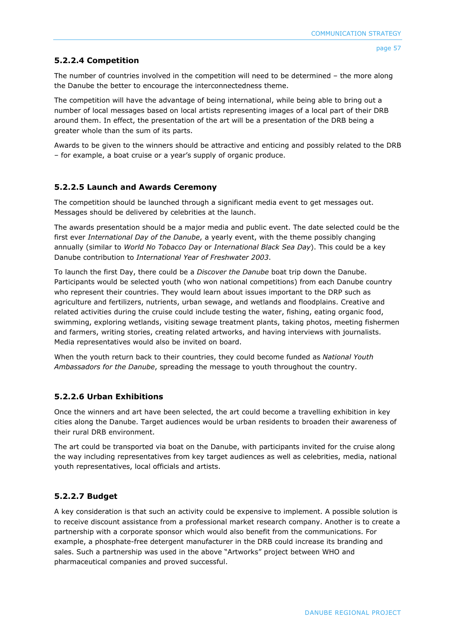# **5.2.2.4 Competition**

The number of countries involved in the competition will need to be determined – the more along the Danube the better to encourage the interconnectedness theme.

The competition will have the advantage of being international, while being able to bring out a number of local messages based on local artists representing images of a local part of their DRB around them. In effect, the presentation of the art will be a presentation of the DRB being a greater whole than the sum of its parts.

Awards to be given to the winners should be attractive and enticing and possibly related to the DRB – for example, a boat cruise or a year's supply of organic produce.

# **5.2.2.5 Launch and Awards Ceremony**

The competition should be launched through a significant media event to get messages out. Messages should be delivered by celebrities at the launch.

The awards presentation should be a major media and public event. The date selected could be the first ever *International Day of the Danube*, a yearly event, with the theme possibly changing annually (similar to *World No Tobacco Day* or *International Black Sea Day*). This could be a key Danube contribution to *International Year of Freshwater 2003*.

To launch the first Day, there could be a *Discover the Danube* boat trip down the Danube. Participants would be selected youth (who won national competitions) from each Danube country who represent their countries. They would learn about issues important to the DRP such as agriculture and fertilizers, nutrients, urban sewage, and wetlands and floodplains. Creative and related activities during the cruise could include testing the water, fishing, eating organic food, swimming, exploring wetlands, visiting sewage treatment plants, taking photos, meeting fishermen and farmers, writing stories, creating related artworks, and having interviews with journalists. Media representatives would also be invited on board.

When the youth return back to their countries, they could become funded as *National Youth Ambassadors for the Danube*, spreading the message to youth throughout the country.

# **5.2.2.6 Urban Exhibitions**

Once the winners and art have been selected, the art could become a travelling exhibition in key cities along the Danube. Target audiences would be urban residents to broaden their awareness of their rural DRB environment.

The art could be transported via boat on the Danube, with participants invited for the cruise along the way including representatives from key target audiences as well as celebrities, media, national youth representatives, local officials and artists.

# **5.2.2.7 Budget**

A key consideration is that such an activity could be expensive to implement. A possible solution is to receive discount assistance from a professional market research company. Another is to create a partnership with a corporate sponsor which would also benefit from the communications. For example, a phosphate-free detergent manufacturer in the DRB could increase its branding and sales. Such a partnership was used in the above "Artworks" project between WHO and pharmaceutical companies and proved successful.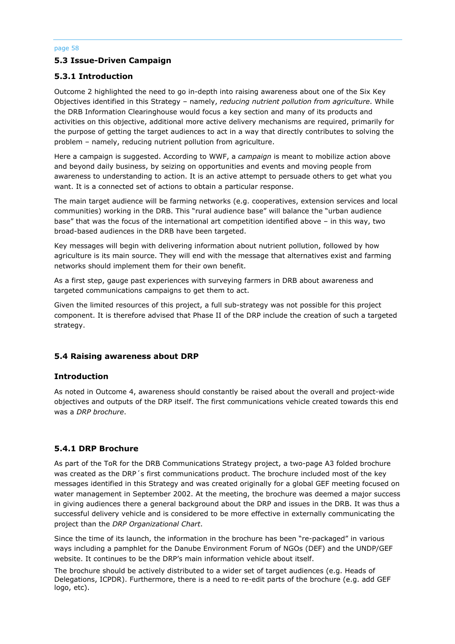# **5.3 Issue-Driven Campaign**

### **5.3.1 Introduction**

Outcome 2 highlighted the need to go in-depth into raising awareness about one of the Six Key Objectives identified in this Strategy – namely, *reducing nutrient pollution from agriculture*. While the DRB Information Clearinghouse would focus a key section and many of its products and activities on this objective, additional more active delivery mechanisms are required, primarily for the purpose of getting the target audiences to act in a way that directly contributes to solving the problem – namely, reducing nutrient pollution from agriculture.

Here a campaign is suggested. According to WWF, a *campaign* is meant to mobilize action above and beyond daily business, by seizing on opportunities and events and moving people from awareness to understanding to action. It is an active attempt to persuade others to get what you want. It is a connected set of actions to obtain a particular response.

The main target audience will be farming networks (e.g. cooperatives, extension services and local communities) working in the DRB. This "rural audience base" will balance the "urban audience base" that was the focus of the international art competition identified above – in this way, two broad-based audiences in the DRB have been targeted.

Key messages will begin with delivering information about nutrient pollution, followed by how agriculture is its main source. They will end with the message that alternatives exist and farming networks should implement them for their own benefit.

As a first step, gauge past experiences with surveying farmers in DRB about awareness and targeted communications campaigns to get them to act.

Given the limited resources of this project, a full sub-strategy was not possible for this project component. It is therefore advised that Phase II of the DRP include the creation of such a targeted strategy.

# **5.4 Raising awareness about DRP**

### **Introduction**

As noted in Outcome 4, awareness should constantly be raised about the overall and project-wide objectives and outputs of the DRP itself. The first communications vehicle created towards this end was a *DRP brochure*.

# **5.4.1 DRP Brochure**

As part of the ToR for the DRB Communications Strategy project, a two-page A3 folded brochure was created as the DRP´s first communications product. The brochure included most of the key messages identified in this Strategy and was created originally for a global GEF meeting focused on water management in September 2002. At the meeting, the brochure was deemed a major success in giving audiences there a general background about the DRP and issues in the DRB. It was thus a successful delivery vehicle and is considered to be more effective in externally communicating the project than the *DRP Organizational Chart*.

Since the time of its launch, the information in the brochure has been "re-packaged" in various ways including a pamphlet for the Danube Environment Forum of NGOs (DEF) and the UNDP/GEF website. It continues to be the DRP's main information vehicle about itself.

The brochure should be actively distributed to a wider set of target audiences (e.g. Heads of Delegations, ICPDR). Furthermore, there is a need to re-edit parts of the brochure (e.g. add GEF logo, etc).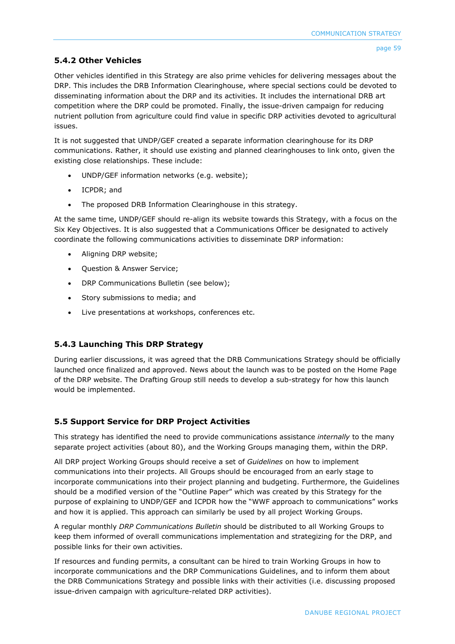# **5.4.2 Other Vehicles**

Other vehicles identified in this Strategy are also prime vehicles for delivering messages about the DRP. This includes the DRB Information Clearinghouse, where special sections could be devoted to disseminating information about the DRP and its activities. It includes the international DRB art competition where the DRP could be promoted. Finally, the issue-driven campaign for reducing nutrient pollution from agriculture could find value in specific DRP activities devoted to agricultural issues.

It is not suggested that UNDP/GEF created a separate information clearinghouse for its DRP communications. Rather, it should use existing and planned clearinghouses to link onto, given the existing close relationships. These include:

- UNDP/GEF information networks (e.g. website);
- ICPDR; and
- The proposed DRB Information Clearinghouse in this strategy.

At the same time, UNDP/GEF should re-align its website towards this Strategy, with a focus on the Six Key Objectives. It is also suggested that a Communications Officer be designated to actively coordinate the following communications activities to disseminate DRP information:

- Aligning DRP website;
- Question & Answer Service;
- DRP Communications Bulletin (see below);
- Story submissions to media; and
- Live presentations at workshops, conferences etc.

# **5.4.3 Launching This DRP Strategy**

During earlier discussions, it was agreed that the DRB Communications Strategy should be officially launched once finalized and approved. News about the launch was to be posted on the Home Page of the DRP website. The Drafting Group still needs to develop a sub-strategy for how this launch would be implemented.

# **5.5 Support Service for DRP Project Activities**

This strategy has identified the need to provide communications assistance *internally* to the many separate project activities (about 80), and the Working Groups managing them, within the DRP.

All DRP project Working Groups should receive a set of *Guidelines* on how to implement communications into their projects. All Groups should be encouraged from an early stage to incorporate communications into their project planning and budgeting. Furthermore, the Guidelines should be a modified version of the "Outline Paper" which was created by this Strategy for the purpose of explaining to UNDP/GEF and ICPDR how the "WWF approach to communications" works and how it is applied. This approach can similarly be used by all project Working Groups.

A regular monthly *DRP Communications Bulletin* should be distributed to all Working Groups to keep them informed of overall communications implementation and strategizing for the DRP, and possible links for their own activities.

If resources and funding permits, a consultant can be hired to train Working Groups in how to incorporate communications and the DRP Communications Guidelines, and to inform them about the DRB Communications Strategy and possible links with their activities (i.e. discussing proposed issue-driven campaign with agriculture-related DRP activities).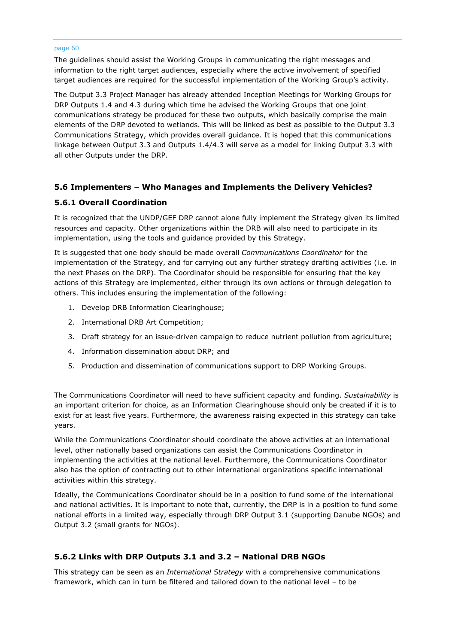The guidelines should assist the Working Groups in communicating the right messages and information to the right target audiences, especially where the active involvement of specified target audiences are required for the successful implementation of the Working Group's activity.

The Output 3.3 Project Manager has already attended Inception Meetings for Working Groups for DRP Outputs 1.4 and 4.3 during which time he advised the Working Groups that one joint communications strategy be produced for these two outputs, which basically comprise the main elements of the DRP devoted to wetlands. This will be linked as best as possible to the Output 3.3 Communications Strategy, which provides overall guidance. It is hoped that this communications linkage between Output 3.3 and Outputs 1.4/4.3 will serve as a model for linking Output 3.3 with all other Outputs under the DRP.

# **5.6 Implementers – Who Manages and Implements the Delivery Vehicles?**

# **5.6.1 Overall Coordination**

It is recognized that the UNDP/GEF DRP cannot alone fully implement the Strategy given its limited resources and capacity. Other organizations within the DRB will also need to participate in its implementation, using the tools and guidance provided by this Strategy.

It is suggested that one body should be made overall *Communications Coordinator* for the implementation of the Strategy, and for carrying out any further strategy drafting activities (i.e. in the next Phases on the DRP). The Coordinator should be responsible for ensuring that the key actions of this Strategy are implemented, either through its own actions or through delegation to others. This includes ensuring the implementation of the following:

- 1. Develop DRB Information Clearinghouse;
- 2. International DRB Art Competition;
- 3. Draft strategy for an issue-driven campaign to reduce nutrient pollution from agriculture;
- 4. Information dissemination about DRP; and
- 5. Production and dissemination of communications support to DRP Working Groups.

The Communications Coordinator will need to have sufficient capacity and funding. *Sustainability* is an important criterion for choice, as an Information Clearinghouse should only be created if it is to exist for at least five years. Furthermore, the awareness raising expected in this strategy can take years.

While the Communications Coordinator should coordinate the above activities at an international level, other nationally based organizations can assist the Communications Coordinator in implementing the activities at the national level. Furthermore, the Communications Coordinator also has the option of contracting out to other international organizations specific international activities within this strategy.

Ideally, the Communications Coordinator should be in a position to fund some of the international and national activities. It is important to note that, currently, the DRP is in a position to fund some national efforts in a limited way, especially through DRP Output 3.1 (supporting Danube NGOs) and Output 3.2 (small grants for NGOs).

# **5.6.2 Links with DRP Outputs 3.1 and 3.2 – National DRB NGOs**

This strategy can be seen as an *International Strategy* with a comprehensive communications framework, which can in turn be filtered and tailored down to the national level – to be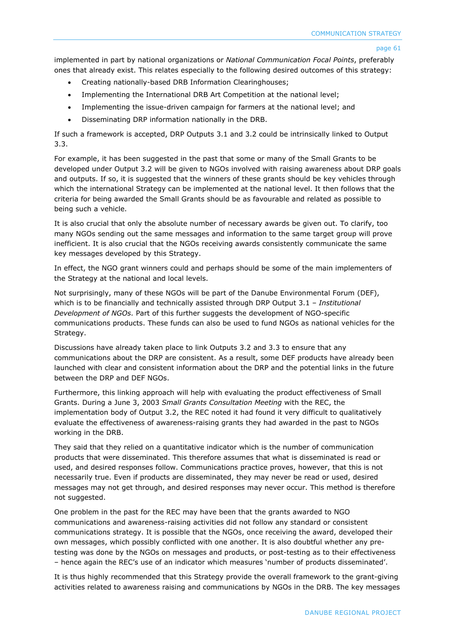implemented in part by national organizations or *National Communication Focal Points*, preferably ones that already exist. This relates especially to the following desired outcomes of this strategy:

- Creating nationally-based DRB Information Clearinghouses;
- Implementing the International DRB Art Competition at the national level;
- Implementing the issue-driven campaign for farmers at the national level; and
- Disseminating DRP information nationally in the DRB.

If such a framework is accepted, DRP Outputs 3.1 and 3.2 could be intrinsically linked to Output 3.3.

For example, it has been suggested in the past that some or many of the Small Grants to be developed under Output 3.2 will be given to NGOs involved with raising awareness about DRP goals and outputs. If so, it is suggested that the winners of these grants should be key vehicles through which the international Strategy can be implemented at the national level. It then follows that the criteria for being awarded the Small Grants should be as favourable and related as possible to being such a vehicle.

It is also crucial that only the absolute number of necessary awards be given out. To clarify, too many NGOs sending out the same messages and information to the same target group will prove inefficient. It is also crucial that the NGOs receiving awards consistently communicate the same key messages developed by this Strategy.

In effect, the NGO grant winners could and perhaps should be some of the main implementers of the Strategy at the national and local levels.

Not surprisingly, many of these NGOs will be part of the Danube Environmental Forum (DEF), which is to be financially and technically assisted through DRP Output 3.1 – *Institutional Development of NGOs*. Part of this further suggests the development of NGO-specific communications products. These funds can also be used to fund NGOs as national vehicles for the Strategy.

Discussions have already taken place to link Outputs 3.2 and 3.3 to ensure that any communications about the DRP are consistent. As a result, some DEF products have already been launched with clear and consistent information about the DRP and the potential links in the future between the DRP and DEF NGOs.

Furthermore, this linking approach will help with evaluating the product effectiveness of Small Grants. During a June 3, 2003 *Small Grants Consultation Meeting* with the REC, the implementation body of Output 3.2, the REC noted it had found it very difficult to qualitatively evaluate the effectiveness of awareness-raising grants they had awarded in the past to NGOs working in the DRB.

They said that they relied on a quantitative indicator which is the number of communication products that were disseminated. This therefore assumes that what is disseminated is read or used, and desired responses follow. Communications practice proves, however, that this is not necessarily true. Even if products are disseminated, they may never be read or used, desired messages may not get through, and desired responses may never occur. This method is therefore not suggested.

One problem in the past for the REC may have been that the grants awarded to NGO communications and awareness-raising activities did not follow any standard or consistent communications strategy. It is possible that the NGOs, once receiving the award, developed their own messages, which possibly conflicted with one another. It is also doubtful whether any pretesting was done by the NGOs on messages and products, or post-testing as to their effectiveness – hence again the REC's use of an indicator which measures 'number of products disseminated'.

It is thus highly recommended that this Strategy provide the overall framework to the grant-giving activities related to awareness raising and communications by NGOs in the DRB. The key messages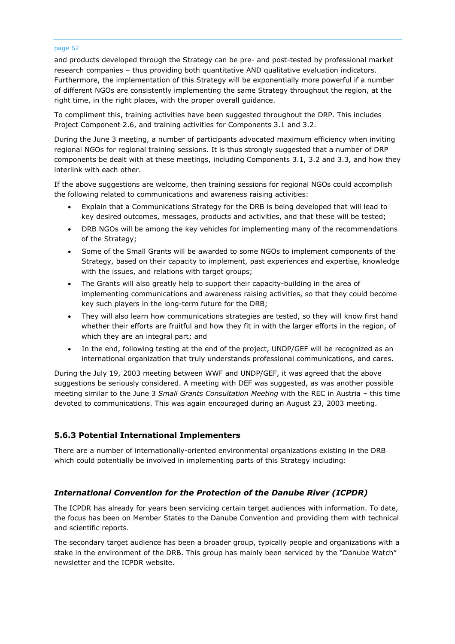and products developed through the Strategy can be pre- and post-tested by professional market research companies – thus providing both quantitative AND qualitative evaluation indicators. Furthermore, the implementation of this Strategy will be exponentially more powerful if a number of different NGOs are consistently implementing the same Strategy throughout the region, at the right time, in the right places, with the proper overall guidance.

To compliment this, training activities have been suggested throughout the DRP. This includes Project Component 2.6, and training activities for Components 3.1 and 3.2.

During the June 3 meeting, a number of participants advocated maximum efficiency when inviting regional NGOs for regional training sessions. It is thus strongly suggested that a number of DRP components be dealt with at these meetings, including Components 3.1, 3.2 and 3.3, and how they interlink with each other.

If the above suggestions are welcome, then training sessions for regional NGOs could accomplish the following related to communications and awareness raising activities:

- Explain that a Communications Strategy for the DRB is being developed that will lead to key desired outcomes, messages, products and activities, and that these will be tested;
- DRB NGOs will be among the key vehicles for implementing many of the recommendations of the Strategy;
- Some of the Small Grants will be awarded to some NGOs to implement components of the Strategy, based on their capacity to implement, past experiences and expertise, knowledge with the issues, and relations with target groups;
- The Grants will also greatly help to support their capacity-building in the area of implementing communications and awareness raising activities, so that they could become key such players in the long-term future for the DRB;
- They will also learn how communications strategies are tested, so they will know first hand whether their efforts are fruitful and how they fit in with the larger efforts in the region, of which they are an integral part; and
- In the end, following testing at the end of the project, UNDP/GEF will be recognized as an international organization that truly understands professional communications, and cares.

During the July 19, 2003 meeting between WWF and UNDP/GEF, it was agreed that the above suggestions be seriously considered. A meeting with DEF was suggested, as was another possible meeting similar to the June 3 *Small Grants Consultation Meeting* with the REC in Austria – this time devoted to communications. This was again encouraged during an August 23, 2003 meeting.

# **5.6.3 Potential International Implementers**

There are a number of internationally-oriented environmental organizations existing in the DRB which could potentially be involved in implementing parts of this Strategy including:

# *International Convention for the Protection of the Danube River (ICPDR)*

The ICPDR has already for years been servicing certain target audiences with information. To date, the focus has been on Member States to the Danube Convention and providing them with technical and scientific reports.

The secondary target audience has been a broader group, typically people and organizations with a stake in the environment of the DRB. This group has mainly been serviced by the "Danube Watch" newsletter and the ICPDR website.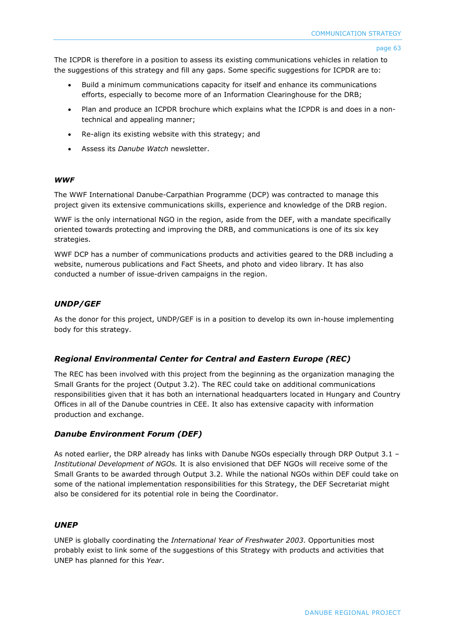The ICPDR is therefore in a position to assess its existing communications vehicles in relation to the suggestions of this strategy and fill any gaps. Some specific suggestions for ICPDR are to:

- Build a minimum communications capacity for itself and enhance its communications efforts, especially to become more of an Information Clearinghouse for the DRB;
- Plan and produce an ICPDR brochure which explains what the ICPDR is and does in a nontechnical and appealing manner;
- Re-align its existing website with this strategy; and
- Assess its *Danube Watch* newsletter.

### *WWF*

The WWF International Danube-Carpathian Programme (DCP) was contracted to manage this project given its extensive communications skills, experience and knowledge of the DRB region.

WWF is the only international NGO in the region, aside from the DEF, with a mandate specifically oriented towards protecting and improving the DRB, and communications is one of its six key strategies.

WWF DCP has a number of communications products and activities geared to the DRB including a website, numerous publications and Fact Sheets, and photo and video library. It has also conducted a number of issue-driven campaigns in the region.

### *UNDP/GEF*

As the donor for this project, UNDP/GEF is in a position to develop its own in-house implementing body for this strategy.

### *Regional Environmental Center for Central and Eastern Europe (REC)*

The REC has been involved with this project from the beginning as the organization managing the Small Grants for the project (Output 3.2). The REC could take on additional communications responsibilities given that it has both an international headquarters located in Hungary and Country Offices in all of the Danube countries in CEE. It also has extensive capacity with information production and exchange.

### *Danube Environment Forum (DEF)*

As noted earlier, the DRP already has links with Danube NGOs especially through DRP Output 3.1 – *Institutional Development of NGOs.* It is also envisioned that DEF NGOs will receive some of the Small Grants to be awarded through Output 3.2. While the national NGOs within DEF could take on some of the national implementation responsibilities for this Strategy, the DEF Secretariat might also be considered for its potential role in being the Coordinator.

### *UNEP*

UNEP is globally coordinating the *International Year of Freshwater 2003*. Opportunities most probably exist to link some of the suggestions of this Strategy with products and activities that UNEP has planned for this *Year*.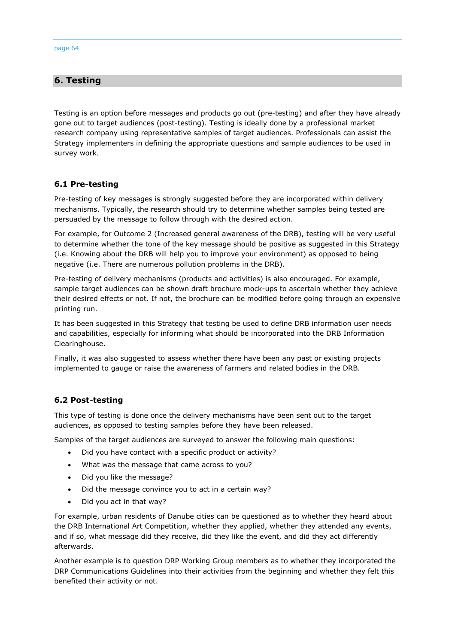# **6. Testing**

Testing is an option before messages and products go out (pre-testing) and after they have already gone out to target audiences (post-testing). Testing is ideally done by a professional market research company using representative samples of target audiences. Professionals can assist the Strategy implementers in defining the appropriate questions and sample audiences to be used in survey work.

# **6.1 Pre-testing**

Pre-testing of key messages is strongly suggested before they are incorporated within delivery mechanisms. Typically, the research should try to determine whether samples being tested are persuaded by the message to follow through with the desired action.

For example, for Outcome 2 (Increased general awareness of the DRB), testing will be very useful to determine whether the tone of the key message should be positive as suggested in this Strategy (i.e. Knowing about the DRB will help you to improve your environment) as opposed to being negative (i.e. There are numerous pollution problems in the DRB).

Pre-testing of delivery mechanisms (products and activities) is also encouraged. For example, sample target audiences can be shown draft brochure mock-ups to ascertain whether they achieve their desired effects or not. If not, the brochure can be modified before going through an expensive printing run.

It has been suggested in this Strategy that testing be used to define DRB information user needs and capabilities, especially for informing what should be incorporated into the DRB Information Clearinghouse.

Finally, it was also suggested to assess whether there have been any past or existing projects implemented to gauge or raise the awareness of farmers and related bodies in the DRB.

# **6.2 Post-testing**

This type of testing is done once the delivery mechanisms have been sent out to the target audiences, as opposed to testing samples before they have been released.

Samples of the target audiences are surveyed to answer the following main questions:

- Did you have contact with a specific product or activity?
- What was the message that came across to you?
- Did you like the message?
- Did the message convince you to act in a certain way?
- Did you act in that way?

For example, urban residents of Danube cities can be questioned as to whether they heard about the DRB International Art Competition, whether they applied, whether they attended any events, and if so, what message did they receive, did they like the event, and did they act differently afterwards.

Another example is to question DRP Working Group members as to whether they incorporated the DRP Communications Guidelines into their activities from the beginning and whether they felt this benefited their activity or not.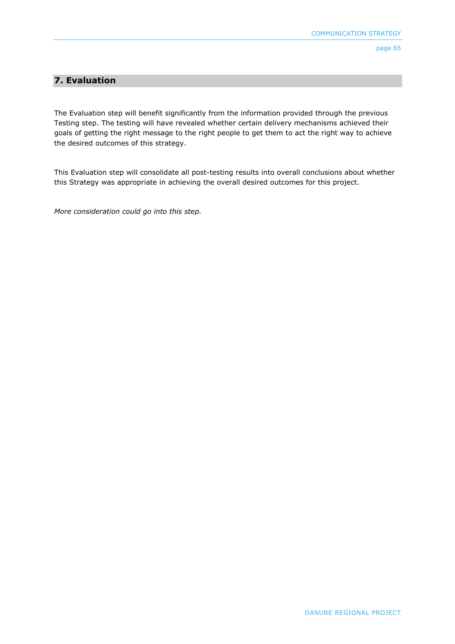# **7. Evaluation**

The Evaluation step will benefit significantly from the information provided through the previous Testing step. The testing will have revealed whether certain delivery mechanisms achieved their goals of getting the right message to the right people to get them to act the right way to achieve the desired outcomes of this strategy.

This Evaluation step will consolidate all post-testing results into overall conclusions about whether this Strategy was appropriate in achieving the overall desired outcomes for this project.

*More consideration could go into this step.*